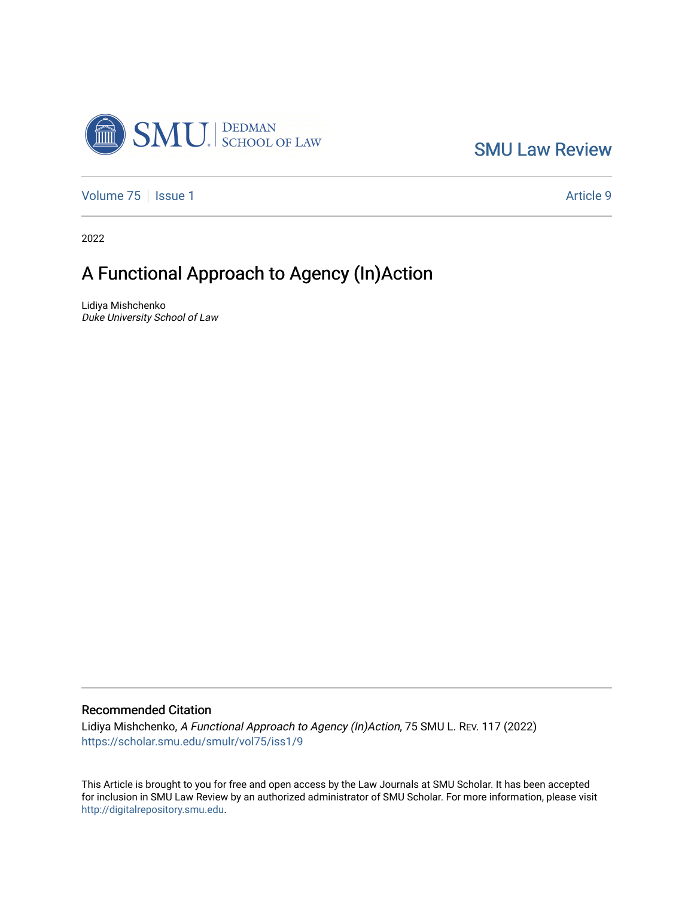

[SMU Law Review](https://scholar.smu.edu/smulr) 

[Volume 75](https://scholar.smu.edu/smulr/vol75) | [Issue 1](https://scholar.smu.edu/smulr/vol75/iss1) Article 9

2022

# A Functional Approach to Agency (In)Action

Lidiya Mishchenko Duke University School of Law

## Recommended Citation

Lidiya Mishchenko, A Functional Approach to Agency (In)Action, 75 SMU L. REV. 117 (2022) [https://scholar.smu.edu/smulr/vol75/iss1/9](https://scholar.smu.edu/smulr/vol75/iss1/9?utm_source=scholar.smu.edu%2Fsmulr%2Fvol75%2Fiss1%2F9&utm_medium=PDF&utm_campaign=PDFCoverPages) 

This Article is brought to you for free and open access by the Law Journals at SMU Scholar. It has been accepted for inclusion in SMU Law Review by an authorized administrator of SMU Scholar. For more information, please visit [http://digitalrepository.smu.edu.](http://digitalrepository.smu.edu/)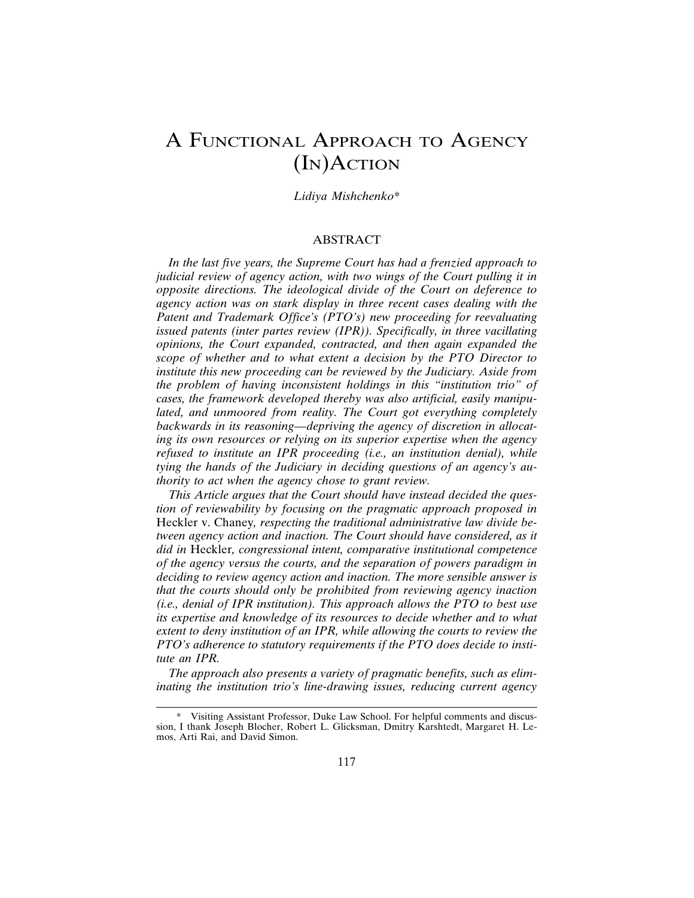## A FUNCTIONAL APPROACH TO AGENCY (IN)ACTION

## *Lidiya Mishchenko*\*

## ABSTRACT

*In the last five years, the Supreme Court has had a frenzied approach to judicial review of agency action, with two wings of the Court pulling it in opposite directions. The ideological divide of the Court on deference to agency action was on stark display in three recent cases dealing with the Patent and Trademark Office's (PTO's) new proceeding for reevaluating issued patents (inter partes review (IPR)). Specifically, in three vacillating opinions, the Court expanded, contracted, and then again expanded the scope of whether and to what extent a decision by the PTO Director to institute this new proceeding can be reviewed by the Judiciary. Aside from the problem of having inconsistent holdings in this "institution trio" of cases, the framework developed thereby was also artificial, easily manipulated, and unmoored from reality. The Court got everything completely backwards in its reasoning—depriving the agency of discretion in allocating its own resources or relying on its superior expertise when the agency refused to institute an IPR proceeding (i.e., an institution denial), while tying the hands of the Judiciary in deciding questions of an agency's authority to act when the agency chose to grant review.*

*This Article argues that the Court should have instead decided the question of reviewability by focusing on the pragmatic approach proposed in* Heckler v. Chaney*, respecting the traditional administrative law divide between agency action and inaction. The Court should have considered, as it did in* Heckler*, congressional intent, comparative institutional competence of the agency versus the courts, and the separation of powers paradigm in deciding to review agency action and inaction. The more sensible answer is that the courts should only be prohibited from reviewing agency inaction (i.e., denial of IPR institution). This approach allows the PTO to best use its expertise and knowledge of its resources to decide whether and to what extent to deny institution of an IPR, while allowing the courts to review the PTO's adherence to statutory requirements if the PTO does decide to institute an IPR.*

*The approach also presents a variety of pragmatic benefits, such as eliminating the institution trio's line-drawing issues, reducing current agency*

<sup>\*</sup> Visiting Assistant Professor, Duke Law School. For helpful comments and discussion, I thank Joseph Blocher, Robert L. Glicksman, Dmitry Karshtedt, Margaret H. Lemos, Arti Rai, and David Simon.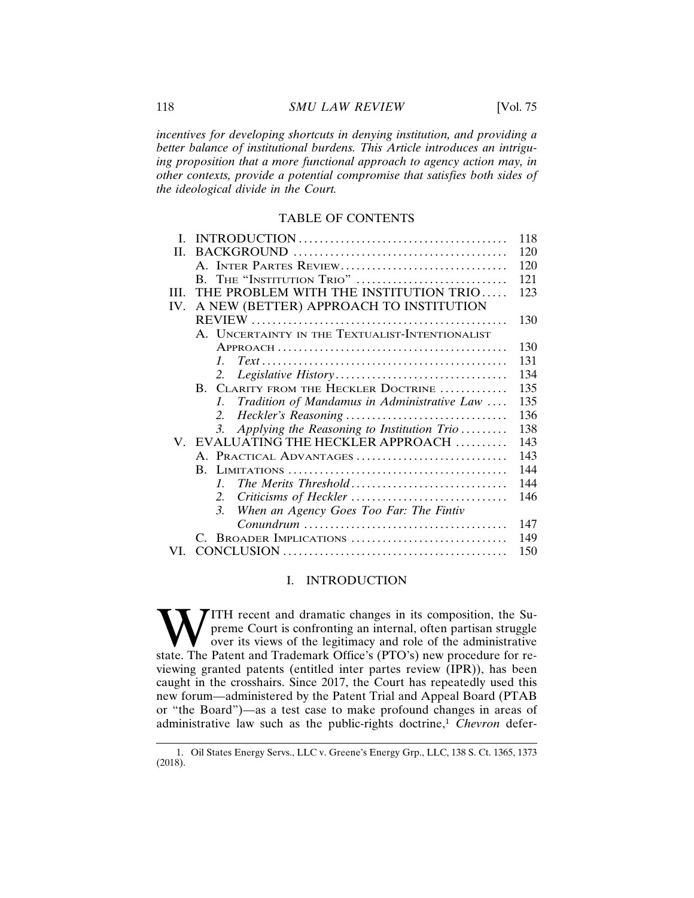*incentives for developing shortcuts in denying institution, and providing a better balance of institutional burdens. This Article introduces an intriguing proposition that a more functional approach to agency action may, in other contexts, provide a potential compromise that satisfies both sides of the ideological divide in the Court.*

## TABLE OF CONTENTS

| L    |                                                                | 118 |
|------|----------------------------------------------------------------|-----|
| H.   |                                                                | 120 |
|      | A. INTER PARTES REVIEW                                         | 120 |
|      | B. THE "INSTITUTION TRIO"                                      | 121 |
| III. | THE PROBLEM WITH THE INSTITUTION TRIO                          | 123 |
| IV.  | A NEW (BETTER) APPROACH TO INSTITUTION                         |     |
|      |                                                                | 130 |
|      | A. UNCERTAINTY IN THE TEXTUALIST-INTENTIONALIST                |     |
|      |                                                                | 130 |
|      | $\mathcal{I}$                                                  | 131 |
|      | 2.                                                             | 134 |
|      | B. CLARITY FROM THE HECKLER DOCTRINE                           | 135 |
|      | Tradition of Mandamus in Administrative Law<br>$\mathcal{I}$ . | 135 |
|      | 2.                                                             | 136 |
|      | Applying the Reasoning to Institution Trio<br>3.               | 138 |
|      | V. EVALUATING THE HECKLER APPROACH                             | 143 |
|      | A. PRACTICAL ADVANTAGES                                        | 143 |
|      |                                                                | 144 |
|      | The Merits Threshold<br>$\mathcal{I}$                          | 144 |
|      | 2.                                                             | 146 |
|      | $\mathfrak{Z}$<br>When an Agency Goes Too Far: The Fintiv      |     |
|      |                                                                | 147 |
|      | C. BROADER IMPLICATIONS                                        | 149 |
| VL.  |                                                                | 150 |

## I. INTRODUCTION

ITH recent and dramatic changes in its composition, the Supreme Court is confronting an internal, often partisan struggle over its views of the legitimacy and role of the administrative state. The Patent and Trademark Office's (PTO's) new procedure for reviewing granted patents (entitled inter partes review (IPR)), has been caught in the crosshairs. Since 2017, the Court has repeatedly used this new forum—administered by the Patent Trial and Appeal Board (PTAB or "the Board")—as a test case to make profound changes in areas of administrative law such as the public-rights doctrine,<sup>1</sup> *Chevron* defer-

<sup>1.</sup> Oil States Energy Servs., LLC v. Greene's Energy Grp., LLC, 138 S. Ct. 1365, 1373 (2018).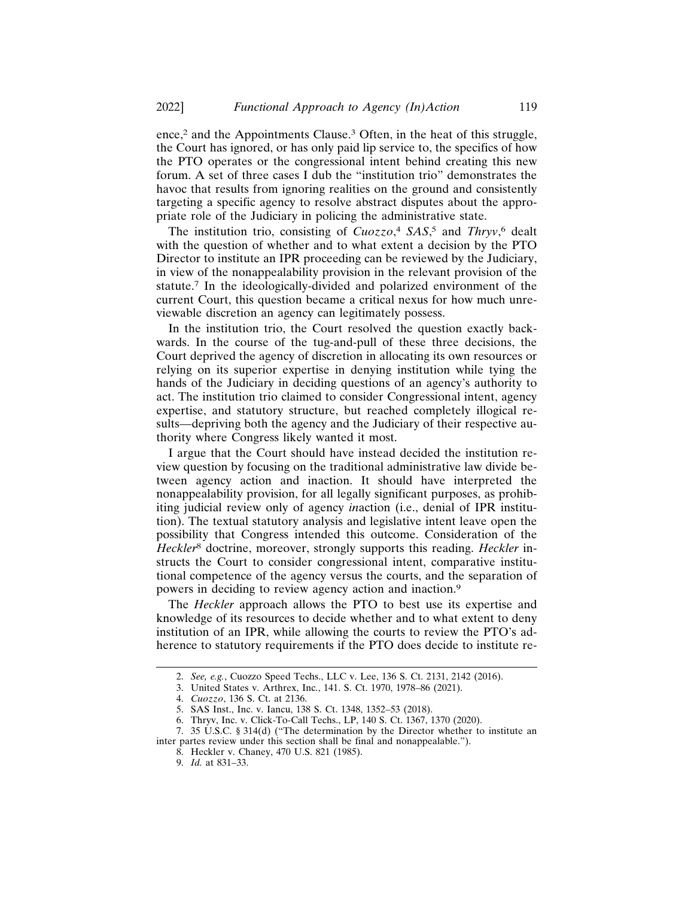ence,<sup>2</sup> and the Appointments Clause.<sup>3</sup> Often, in the heat of this struggle, the Court has ignored, or has only paid lip service to, the specifics of how the PTO operates or the congressional intent behind creating this new forum. A set of three cases I dub the "institution trio" demonstrates the havoc that results from ignoring realities on the ground and consistently targeting a specific agency to resolve abstract disputes about the appropriate role of the Judiciary in policing the administrative state.

The institution trio, consisting of *Cuozzo*, <sup>4</sup> *SAS*, 5 and *Thryv*, 6 dealt with the question of whether and to what extent a decision by the PTO Director to institute an IPR proceeding can be reviewed by the Judiciary, in view of the nonappealability provision in the relevant provision of the statute.7 In the ideologically-divided and polarized environment of the current Court, this question became a critical nexus for how much unreviewable discretion an agency can legitimately possess.

In the institution trio, the Court resolved the question exactly backwards. In the course of the tug-and-pull of these three decisions, the Court deprived the agency of discretion in allocating its own resources or relying on its superior expertise in denying institution while tying the hands of the Judiciary in deciding questions of an agency's authority to act. The institution trio claimed to consider Congressional intent, agency expertise, and statutory structure, but reached completely illogical results—depriving both the agency and the Judiciary of their respective authority where Congress likely wanted it most.

I argue that the Court should have instead decided the institution review question by focusing on the traditional administrative law divide between agency action and inaction. It should have interpreted the nonappealability provision, for all legally significant purposes, as prohibiting judicial review only of agency *in*action (i.e., denial of IPR institution). The textual statutory analysis and legislative intent leave open the possibility that Congress intended this outcome. Consideration of the *Heckler*8 doctrine, moreover, strongly supports this reading. *Heckler* instructs the Court to consider congressional intent, comparative institutional competence of the agency versus the courts, and the separation of powers in deciding to review agency action and inaction.<sup>9</sup>

The *Heckler* approach allows the PTO to best use its expertise and knowledge of its resources to decide whether and to what extent to deny institution of an IPR, while allowing the courts to review the PTO's adherence to statutory requirements if the PTO does decide to institute re-

<sup>2.</sup> *See, e.g.*, Cuozzo Speed Techs., LLC v. Lee, 136 S. Ct. 2131, 2142 (2016).

<sup>3.</sup> United States v. Arthrex, Inc., 141. S. Ct. 1970, 1978–86 (2021).

<sup>4.</sup> *Cuozzo*, 136 S. Ct. at 2136.

<sup>5.</sup> SAS Inst., Inc. v. Iancu, 138 S. Ct. 1348, 1352–53 (2018).

<sup>6.</sup> Thryv, Inc. v. Click-To-Call Techs., LP, 140 S. Ct. 1367, 1370 (2020).

<sup>7. 35</sup> U.S.C. § 314(d) ("The determination by the Director whether to institute an inter partes review under this section shall be final and nonappealable.").

<sup>8.</sup> Heckler v. Chaney, 470 U.S. 821 (1985).

<sup>9.</sup> *Id.* at 831–33.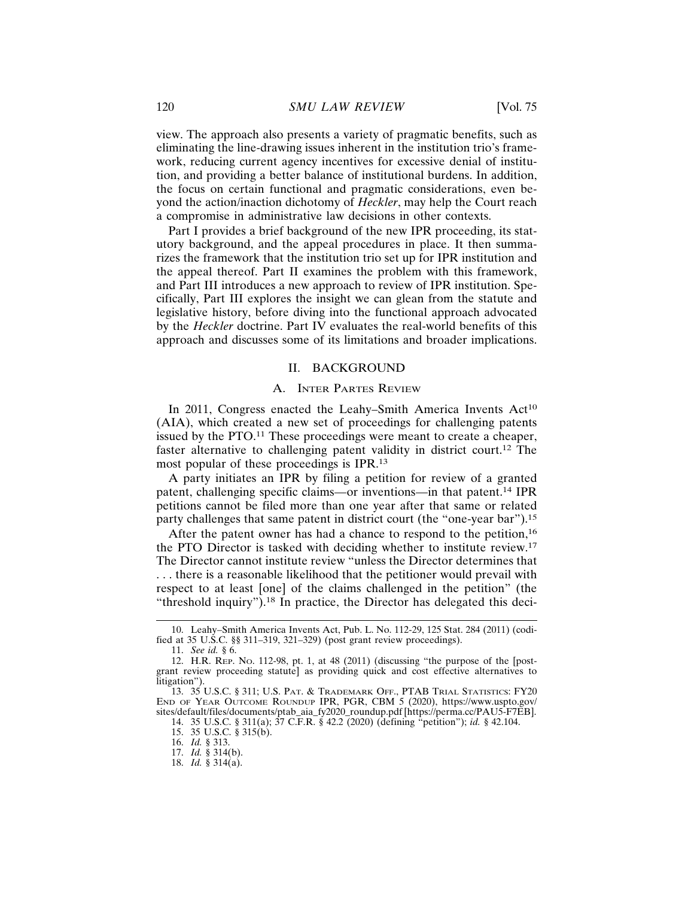view. The approach also presents a variety of pragmatic benefits, such as eliminating the line-drawing issues inherent in the institution trio's framework, reducing current agency incentives for excessive denial of institution, and providing a better balance of institutional burdens. In addition, the focus on certain functional and pragmatic considerations, even beyond the action/inaction dichotomy of *Heckler*, may help the Court reach a compromise in administrative law decisions in other contexts.

Part I provides a brief background of the new IPR proceeding, its statutory background, and the appeal procedures in place. It then summarizes the framework that the institution trio set up for IPR institution and the appeal thereof. Part II examines the problem with this framework, and Part III introduces a new approach to review of IPR institution. Specifically, Part III explores the insight we can glean from the statute and legislative history, before diving into the functional approach advocated by the *Heckler* doctrine. Part IV evaluates the real-world benefits of this approach and discusses some of its limitations and broader implications.

### II. BACKGROUND

#### A. INTER PARTES REVIEW

In 2011, Congress enacted the Leahy–Smith America Invents Act<sup>10</sup> (AIA), which created a new set of proceedings for challenging patents issued by the PTO.<sup>11</sup> These proceedings were meant to create a cheaper, faster alternative to challenging patent validity in district court.12 The most popular of these proceedings is IPR.<sup>13</sup>

A party initiates an IPR by filing a petition for review of a granted patent, challenging specific claims—or inventions—in that patent.14 IPR petitions cannot be filed more than one year after that same or related party challenges that same patent in district court (the "one-year bar").<sup>15</sup>

After the patent owner has had a chance to respond to the petition,<sup>16</sup> the PTO Director is tasked with deciding whether to institute review.<sup>17</sup> The Director cannot institute review "unless the Director determines that . . . there is a reasonable likelihood that the petitioner would prevail with respect to at least [one] of the claims challenged in the petition" (the "threshold inquiry").18 In practice, the Director has delegated this deci-

<sup>10.</sup> Leahy–Smith America Invents Act, Pub. L. No. 112-29, 125 Stat. 284 (2011) (codified at 35 U.S.C. §§ 311–319, 321–329) (post grant review proceedings).

<sup>11.</sup> *See id.* § 6.

<sup>12.</sup> H.R. REP. NO. 112-98, pt. 1, at 48 (2011) (discussing "the purpose of the [postgrant review proceeding statute] as providing quick and cost effective alternatives to litigation").

<sup>13. 35</sup> U.S.C. § 311; U.S. PAT. & TRADEMARK OFF., PTAB TRIAL STATISTICS: FY20 END OF YEAR OUTCOME ROUNDUP IPR, PGR, CBM 5 (2020), https://www.uspto.gov/ sites/default/files/documents/ptab\_aia\_fy2020\_roundup.pdf [https://perma.cc/PAU5-F7EB].

<sup>14. 35</sup> U.S.C. § 311(a); 37 C.F.R. § 42.2 (2020) (defining "petition"); *id.* § 42.104.

<sup>15. 35</sup> U.S.C. § 315(b).

<sup>16.</sup> *Id.* § 313.

<sup>17.</sup> *Id.* § 314(b).

<sup>18.</sup> *Id.* § 314(a).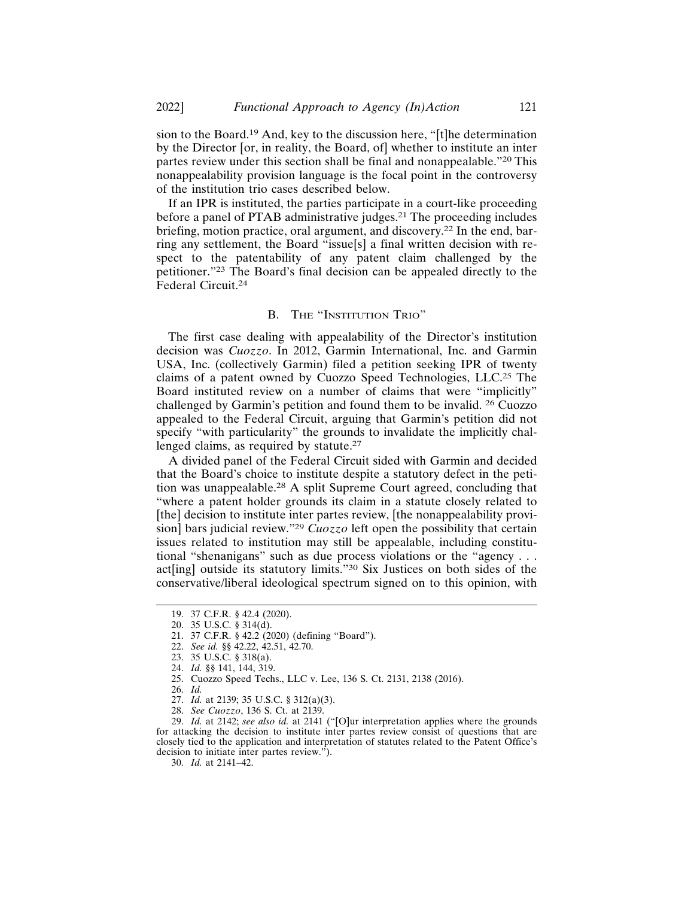sion to the Board.19 And, key to the discussion here, "[t]he determination by the Director [or, in reality, the Board, of] whether to institute an inter partes review under this section shall be final and nonappealable."20 This nonappealability provision language is the focal point in the controversy of the institution trio cases described below.

If an IPR is instituted, the parties participate in a court-like proceeding before a panel of PTAB administrative judges.<sup>21</sup> The proceeding includes briefing, motion practice, oral argument, and discovery.22 In the end, barring any settlement, the Board "issue[s] a final written decision with respect to the patentability of any patent claim challenged by the petitioner."23 The Board's final decision can be appealed directly to the Federal Circuit.<sup>24</sup>

## B. THE "INSTITUTION TRIO"

The first case dealing with appealability of the Director's institution decision was *Cuozzo*. In 2012, Garmin International, Inc. and Garmin USA, Inc. (collectively Garmin) filed a petition seeking IPR of twenty claims of a patent owned by Cuozzo Speed Technologies, LLC.25 The Board instituted review on a number of claims that were "implicitly" challenged by Garmin's petition and found them to be invalid. 26 Cuozzo appealed to the Federal Circuit, arguing that Garmin's petition did not specify "with particularity" the grounds to invalidate the implicitly challenged claims, as required by statute.<sup>27</sup>

A divided panel of the Federal Circuit sided with Garmin and decided that the Board's choice to institute despite a statutory defect in the petition was unappealable.28 A split Supreme Court agreed, concluding that "where a patent holder grounds its claim in a statute closely related to [the] decision to institute inter partes review, [the nonappealability provision] bars judicial review."<sup>29</sup> *Cuozzo* left open the possibility that certain issues related to institution may still be appealable, including constitutional "shenanigans" such as due process violations or the "agency . . . act[ing] outside its statutory limits."30 Six Justices on both sides of the conservative/liberal ideological spectrum signed on to this opinion, with

30. *Id.* at 2141–42.

<sup>19. 37</sup> C.F.R. § 42.4 (2020).

<sup>20. 35</sup> U.S.C. § 314(d).

<sup>21. 37</sup> C.F.R. § 42.2 (2020) (defining "Board").

<sup>22.</sup> *See id.* §§ 42.22, 42.51, 42.70.

<sup>23. 35</sup> U.S.C. § 318(a).

<sup>24.</sup> *Id.* §§ 141, 144, 319.

<sup>25.</sup> Cuozzo Speed Techs., LLC v. Lee, 136 S. Ct. 2131, 2138 (2016).

<sup>26.</sup> *Id.*

<sup>27.</sup> *Id.* at 2139; 35 U.S.C. § 312(a)(3).

<sup>28.</sup> *See Cuozzo*, 136 S. Ct. at 2139.

<sup>29.</sup> *Id.* at 2142; *see also id.* at 2141 ("[O]ur interpretation applies where the grounds for attacking the decision to institute inter partes review consist of questions that are closely tied to the application and interpretation of statutes related to the Patent Office's decision to initiate inter partes review.").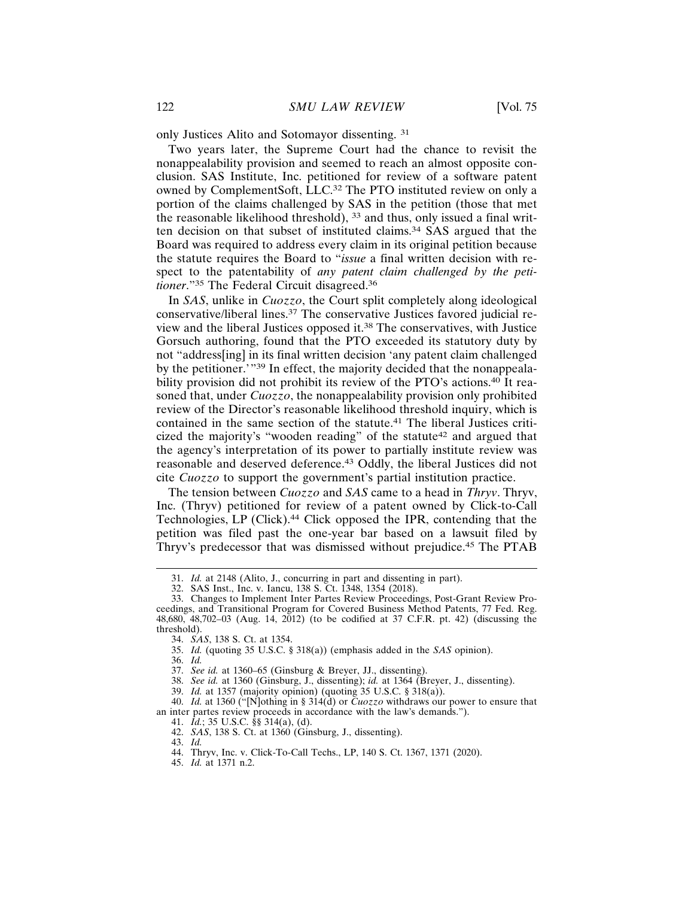only Justices Alito and Sotomayor dissenting. <sup>31</sup>

Two years later, the Supreme Court had the chance to revisit the nonappealability provision and seemed to reach an almost opposite conclusion. SAS Institute, Inc. petitioned for review of a software patent owned by ComplementSoft, LLC.32 The PTO instituted review on only a portion of the claims challenged by SAS in the petition (those that met the reasonable likelihood threshold), 33 and thus, only issued a final written decision on that subset of instituted claims.34 SAS argued that the Board was required to address every claim in its original petition because the statute requires the Board to "*issue* a final written decision with respect to the patentability of *any patent claim challenged by the petitioner*."35 The Federal Circuit disagreed.36

In *SAS*, unlike in *Cuozzo*, the Court split completely along ideological conservative/liberal lines.37 The conservative Justices favored judicial review and the liberal Justices opposed it.38 The conservatives, with Justice Gorsuch authoring, found that the PTO exceeded its statutory duty by not "address[ing] in its final written decision 'any patent claim challenged by the petitioner.'"39 In effect, the majority decided that the nonappealability provision did not prohibit its review of the PTO's actions.<sup>40</sup> It reasoned that, under *Cuozzo*, the nonappealability provision only prohibited review of the Director's reasonable likelihood threshold inquiry, which is contained in the same section of the statute.41 The liberal Justices criticized the majority's "wooden reading" of the statute<sup>42</sup> and argued that the agency's interpretation of its power to partially institute review was reasonable and deserved deference.43 Oddly, the liberal Justices did not cite *Cuozzo* to support the government's partial institution practice.

The tension between *Cuozzo* and *SAS* came to a head in *Thryv*. Thryv, Inc. (Thryv) petitioned for review of a patent owned by Click-to-Call Technologies, LP (Click).44 Click opposed the IPR, contending that the petition was filed past the one-year bar based on a lawsuit filed by Thryv's predecessor that was dismissed without prejudice.45 The PTAB

36. *Id.*

40. *Id.* at 1360 ("[N]othing in § 314(d) or *Cuozzo* withdraws our power to ensure that an inter partes review proceeds in accordance with the law's demands.").

41. *Id.*; 35 U.S.C. §§ 314(a), (d).

43. *Id.*

<sup>31.</sup> *Id.* at 2148 (Alito, J., concurring in part and dissenting in part).

<sup>32.</sup> SAS Inst., Inc. v. Iancu, 138 S. Ct. 1348, 1354 (2018).

<sup>33.</sup> Changes to Implement Inter Partes Review Proceedings, Post-Grant Review Proceedings, and Transitional Program for Covered Business Method Patents, 77 Fed. Reg. 48,680, 48,702–03 (Aug. 14, 2012) (to be codified at 37 C.F.R. pt. 42) (discussing the threshold).

<sup>34.</sup> *SAS*, 138 S. Ct. at 1354.

<sup>35.</sup> *Id.* (quoting 35 U.S.C. § 318(a)) (emphasis added in the *SAS* opinion).

<sup>37.</sup> *See id.* at 1360–65 (Ginsburg & Breyer, JJ., dissenting).

<sup>38.</sup> *See id.* at 1360 (Ginsburg, J., dissenting); *id.* at 1364 (Breyer, J., dissenting).

<sup>39.</sup> *Id.* at 1357 (majority opinion) (quoting 35 U.S.C. § 318(a)).

<sup>42.</sup> *SAS*, 138 S. Ct. at 1360 (Ginsburg, J., dissenting).

<sup>44.</sup> Thryv, Inc. v. Click-To-Call Techs., LP, 140 S. Ct. 1367, 1371 (2020).

<sup>45.</sup> *Id.* at 1371 n.2.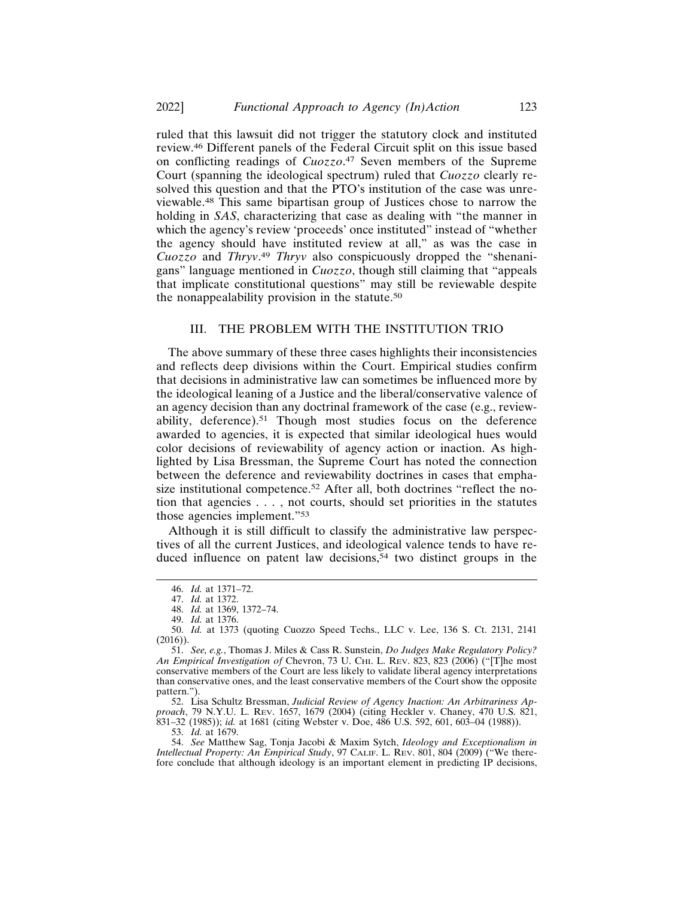ruled that this lawsuit did not trigger the statutory clock and instituted review.46 Different panels of the Federal Circuit split on this issue based on conflicting readings of *Cuozzo*. 47 Seven members of the Supreme Court (spanning the ideological spectrum) ruled that *Cuozzo* clearly resolved this question and that the PTO's institution of the case was unreviewable.48 This same bipartisan group of Justices chose to narrow the holding in *SAS*, characterizing that case as dealing with "the manner in which the agency's review 'proceeds' once instituted" instead of "whether the agency should have instituted review at all," as was the case in *Cuozzo* and *Thryv*. <sup>49</sup> *Thryv* also conspicuously dropped the "shenanigans" language mentioned in *Cuozzo*, though still claiming that "appeals that implicate constitutional questions" may still be reviewable despite the nonappealability provision in the statute.<sup>50</sup>

#### III. THE PROBLEM WITH THE INSTITUTION TRIO

The above summary of these three cases highlights their inconsistencies and reflects deep divisions within the Court. Empirical studies confirm that decisions in administrative law can sometimes be influenced more by the ideological leaning of a Justice and the liberal/conservative valence of an agency decision than any doctrinal framework of the case (e.g., reviewability, deference).51 Though most studies focus on the deference awarded to agencies, it is expected that similar ideological hues would color decisions of reviewability of agency action or inaction. As highlighted by Lisa Bressman, the Supreme Court has noted the connection between the deference and reviewability doctrines in cases that emphasize institutional competence.<sup>52</sup> After all, both doctrines "reflect the notion that agencies . . . , not courts, should set priorities in the statutes those agencies implement."<sup>53</sup>

Although it is still difficult to classify the administrative law perspectives of all the current Justices, and ideological valence tends to have reduced influence on patent law decisions,<sup>54</sup> two distinct groups in the

52. Lisa Schultz Bressman, *Judicial Review of Agency Inaction: An Arbitrariness Approach*, 79 N.Y.U. L. REV. 1657, 1679 (2004) (citing Heckler v. Chaney, 470 U.S. 821, 831–32 (1985)); *id.* at 1681 (citing Webster v. Doe, 486 U.S. 592, 601, 603–04 (1988)).

53. *Id.* at 1679.

54. *See* Matthew Sag, Tonja Jacobi & Maxim Sytch, *Ideology and Exceptionalism in Intellectual Property: An Empirical Study*, 97 CALIF. L. REV. 801, 804 (2009) ("We therefore conclude that although ideology is an important element in predicting IP decisions,

<sup>46.</sup> *Id.* at 1371–72.

<sup>47.</sup> *Id.* at 1372.

<sup>48.</sup> *Id.* at 1369, 1372–74.

<sup>49.</sup> *Id.* at 1376.

<sup>50.</sup> *Id.* at 1373 (quoting Cuozzo Speed Techs., LLC v. Lee, 136 S. Ct. 2131, 2141 (2016)).

<sup>51.</sup> *See, e.g.*, Thomas J. Miles & Cass R. Sunstein, *Do Judges Make Regulatory Policy? An Empirical Investigation of* Chevron, 73 U. CHI. L. REV. 823, 823 (2006) ("[T]he most conservative members of the Court are less likely to validate liberal agency interpretations than conservative ones, and the least conservative members of the Court show the opposite pattern.").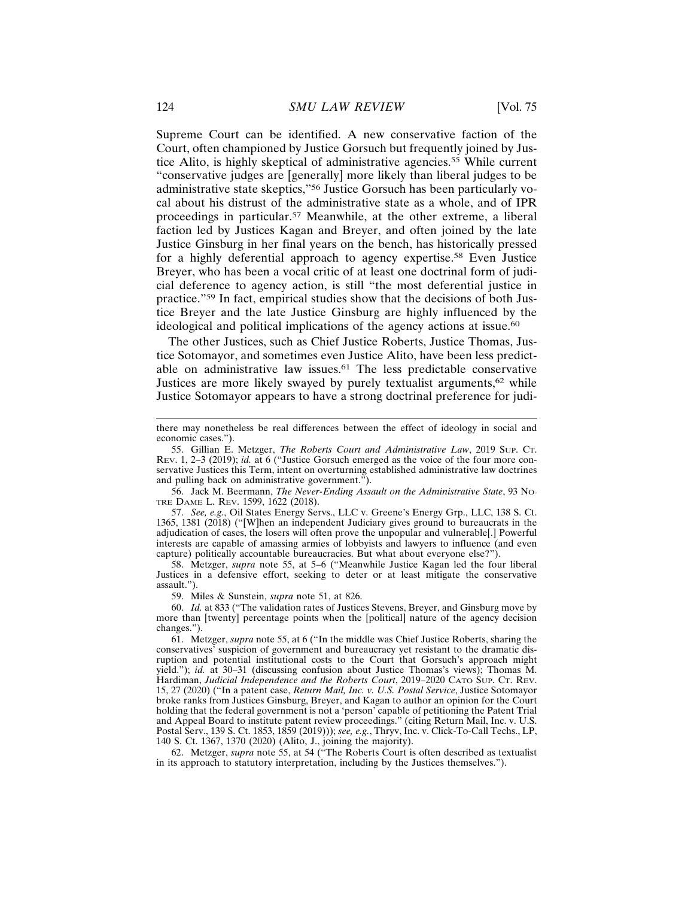Supreme Court can be identified. A new conservative faction of the Court, often championed by Justice Gorsuch but frequently joined by Justice Alito, is highly skeptical of administrative agencies.55 While current "conservative judges are [generally] more likely than liberal judges to be administrative state skeptics,"56 Justice Gorsuch has been particularly vocal about his distrust of the administrative state as a whole, and of IPR proceedings in particular.57 Meanwhile, at the other extreme, a liberal faction led by Justices Kagan and Breyer, and often joined by the late Justice Ginsburg in her final years on the bench, has historically pressed for a highly deferential approach to agency expertise.<sup>58</sup> Even Justice Breyer, who has been a vocal critic of at least one doctrinal form of judicial deference to agency action, is still "the most deferential justice in practice."59 In fact, empirical studies show that the decisions of both Justice Breyer and the late Justice Ginsburg are highly influenced by the ideological and political implications of the agency actions at issue.<sup>60</sup>

The other Justices, such as Chief Justice Roberts, Justice Thomas, Justice Sotomayor, and sometimes even Justice Alito, have been less predictable on administrative law issues.61 The less predictable conservative Justices are more likely swayed by purely textualist arguments,<sup>62</sup> while Justice Sotomayor appears to have a strong doctrinal preference for judi-

56. Jack M. Beermann, *The Never-Ending Assault on the Administrative State*, 93 NO-TRE DAME L. REV. 1599, 1622 (2018).

57. *See, e.g.*, Oil States Energy Servs., LLC v. Greene's Energy Grp., LLC, 138 S. Ct. 1365, 1381 (2018) ("[W]hen an independent Judiciary gives ground to bureaucrats in the adjudication of cases, the losers will often prove the unpopular and vulnerable[.] Powerful interests are capable of amassing armies of lobbyists and lawyers to influence (and even capture) politically accountable bureaucracies. But what about everyone else?").

58. Metzger, *supra* note 55, at 5–6 ("Meanwhile Justice Kagan led the four liberal Justices in a defensive effort, seeking to deter or at least mitigate the conservative assault.").

59. Miles & Sunstein, *supra* note 51, at 826.

60. *Id.* at 833 ("The validation rates of Justices Stevens, Breyer, and Ginsburg move by more than [twenty] percentage points when the [political] nature of the agency decision changes.").

62. Metzger, *supra* note 55, at 54 ("The Roberts Court is often described as textualist in its approach to statutory interpretation, including by the Justices themselves.").

there may nonetheless be real differences between the effect of ideology in social and economic cases.").

<sup>55.</sup> Gillian E. Metzger, *The Roberts Court and Administrative Law*, 2019 SUP. CT. REV. 1, 2–3 (2019); *id.* at 6 ("Justice Gorsuch emerged as the voice of the four more conservative Justices this Term, intent on overturning established administrative law doctrines and pulling back on administrative government.").

<sup>61.</sup> Metzger, *supra* note 55, at 6 ("In the middle was Chief Justice Roberts, sharing the conservatives' suspicion of government and bureaucracy yet resistant to the dramatic disruption and potential institutional costs to the Court that Gorsuch's approach might yield."); *id.* at 30–31 (discussing confusion about Justice Thomas's views); Thomas M. Hardiman, *Judicial Independence and the Roberts Court*, 2019–2020 CATO SUP. CT. REV. 15, 27 (2020) ("In a patent case, *Return Mail, Inc. v. U.S. Postal Service*, Justice Sotomayor broke ranks from Justices Ginsburg, Breyer, and Kagan to author an opinion for the Court holding that the federal government is not a 'person' capable of petitioning the Patent Trial and Appeal Board to institute patent review proceedings." (citing Return Mail, Inc. v. U.S. Postal Serv., 139 S. Ct. 1853, 1859 (2019))); *see, e.g.*, Thryv, Inc. v. Click-To-Call Techs., LP, 140 S. Ct. 1367, 1370 (2020) (Alito, J., joining the majority).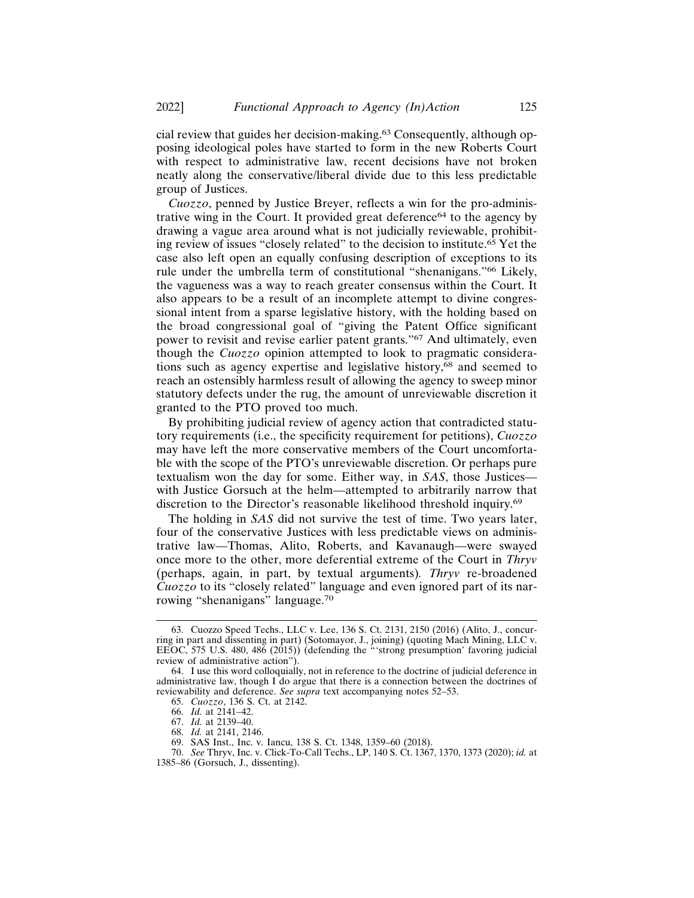cial review that guides her decision-making.63 Consequently, although opposing ideological poles have started to form in the new Roberts Court with respect to administrative law, recent decisions have not broken neatly along the conservative/liberal divide due to this less predictable group of Justices.

*Cuozzo*, penned by Justice Breyer, reflects a win for the pro-administrative wing in the Court. It provided great deference<sup>64</sup> to the agency by drawing a vague area around what is not judicially reviewable, prohibiting review of issues "closely related" to the decision to institute.65 Yet the case also left open an equally confusing description of exceptions to its rule under the umbrella term of constitutional "shenanigans."66 Likely, the vagueness was a way to reach greater consensus within the Court. It also appears to be a result of an incomplete attempt to divine congressional intent from a sparse legislative history, with the holding based on the broad congressional goal of "giving the Patent Office significant power to revisit and revise earlier patent grants."67 And ultimately, even though the *Cuozzo* opinion attempted to look to pragmatic considerations such as agency expertise and legislative history,<sup>68</sup> and seemed to reach an ostensibly harmless result of allowing the agency to sweep minor statutory defects under the rug, the amount of unreviewable discretion it granted to the PTO proved too much.

By prohibiting judicial review of agency action that contradicted statutory requirements (i.e., the specificity requirement for petitions), *Cuozzo* may have left the more conservative members of the Court uncomfortable with the scope of the PTO's unreviewable discretion. Or perhaps pure textualism won the day for some. Either way, in *SAS*, those Justices with Justice Gorsuch at the helm—attempted to arbitrarily narrow that discretion to the Director's reasonable likelihood threshold inquiry.<sup>69</sup>

The holding in *SAS* did not survive the test of time. Two years later, four of the conservative Justices with less predictable views on administrative law—Thomas, Alito, Roberts, and Kavanaugh—were swayed once more to the other, more deferential extreme of the Court in *Thryv* (perhaps, again, in part, by textual arguments)*. Thryv* re-broadened *Cuozzo* to its "closely related" language and even ignored part of its narrowing "shenanigans" language.<sup>70</sup>

<sup>63.</sup> Cuozzo Speed Techs., LLC v. Lee, 136 S. Ct. 2131, 2150 (2016) (Alito, J., concurring in part and dissenting in part) (Sotomayor, J., joining) (quoting Mach Mining, LLC v. EEOC, 575 U.S. 480, 486 (2015)) (defending the "'strong presumption' favoring judicial review of administrative action").

<sup>64.</sup> I use this word colloquially, not in reference to the doctrine of judicial deference in administrative law, though I do argue that there is a connection between the doctrines of reviewability and deference. *See supra* text accompanying notes 52–53.

<sup>65.</sup> *Cuozzo*, 136 S. Ct. at 2142.

<sup>66.</sup> *Id.* at 2141–42.

<sup>67.</sup> *Id.* at 2139–40.

<sup>68.</sup> *Id.* at 2141, 2146.

<sup>69.</sup> SAS Inst., Inc. v. Iancu, 138 S. Ct. 1348, 1359–60 (2018).

<sup>70.</sup> *See* Thryv, Inc. v. Click-To-Call Techs., LP, 140 S. Ct. 1367, 1370, 1373 (2020); *id.* at 1385–86 (Gorsuch, J., dissenting).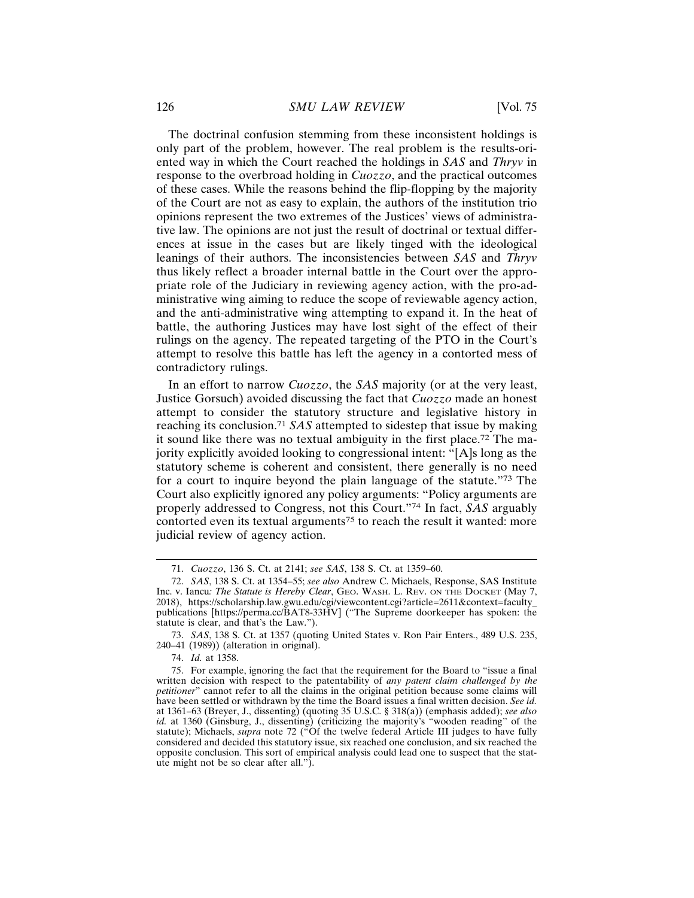The doctrinal confusion stemming from these inconsistent holdings is only part of the problem, however. The real problem is the results-oriented way in which the Court reached the holdings in *SAS* and *Thryv* in response to the overbroad holding in *Cuozzo*, and the practical outcomes of these cases. While the reasons behind the flip-flopping by the majority of the Court are not as easy to explain, the authors of the institution trio opinions represent the two extremes of the Justices' views of administrative law. The opinions are not just the result of doctrinal or textual differences at issue in the cases but are likely tinged with the ideological leanings of their authors. The inconsistencies between *SAS* and *Thryv* thus likely reflect a broader internal battle in the Court over the appropriate role of the Judiciary in reviewing agency action, with the pro-administrative wing aiming to reduce the scope of reviewable agency action, and the anti-administrative wing attempting to expand it. In the heat of battle, the authoring Justices may have lost sight of the effect of their rulings on the agency. The repeated targeting of the PTO in the Court's attempt to resolve this battle has left the agency in a contorted mess of contradictory rulings.

In an effort to narrow *Cuozzo*, the *SAS* majority (or at the very least, Justice Gorsuch) avoided discussing the fact that *Cuozzo* made an honest attempt to consider the statutory structure and legislative history in reaching its conclusion.<sup>71</sup> *SAS* attempted to sidestep that issue by making it sound like there was no textual ambiguity in the first place.72 The majority explicitly avoided looking to congressional intent: "[A]s long as the statutory scheme is coherent and consistent, there generally is no need for a court to inquire beyond the plain language of the statute."73 The Court also explicitly ignored any policy arguments: "Policy arguments are properly addressed to Congress, not this Court."74 In fact, *SAS* arguably contorted even its textual arguments<sup>75</sup> to reach the result it wanted: more judicial review of agency action.

<sup>71.</sup> *Cuozzo*, 136 S. Ct. at 2141; *see SAS*, 138 S. Ct. at 1359–60.

<sup>72.</sup> *SAS*, 138 S. Ct. at 1354–55; *see also* Andrew C. Michaels, Response, SAS Institute Inc. v. Iancu*: The Statute is Hereby Clear*, GEO. WASH. L. REV. ON THE DOCKET (May 7, 2018), https://scholarship.law.gwu.edu/cgi/viewcontent.cgi?article=2611&context=faculty\_ publications [https://perma.cc/BAT8-33HV] ("The Supreme doorkeeper has spoken: the statute is clear, and that's the Law.").

<sup>73.</sup> *SAS*, 138 S. Ct. at 1357 (quoting United States v. Ron Pair Enters., 489 U.S. 235, 240–41 (1989)) (alteration in original).

<sup>74.</sup> *Id.* at 1358.

<sup>75.</sup> For example, ignoring the fact that the requirement for the Board to "issue a final written decision with respect to the patentability of *any patent claim challenged by the petitioner*" cannot refer to all the claims in the original petition because some claims will have been settled or withdrawn by the time the Board issues a final written decision. *See id.* at 1361–63 (Breyer, J., dissenting) (quoting 35 U.S.C. § 318(a)) (emphasis added); *see also id.* at 1360 (Ginsburg, J., dissenting) (criticizing the majority's "wooden reading" of the statute); Michaels, *supra* note 72 ("Of the twelve federal Article III judges to have fully considered and decided this statutory issue, six reached one conclusion, and six reached the opposite conclusion. This sort of empirical analysis could lead one to suspect that the statute might not be so clear after all.").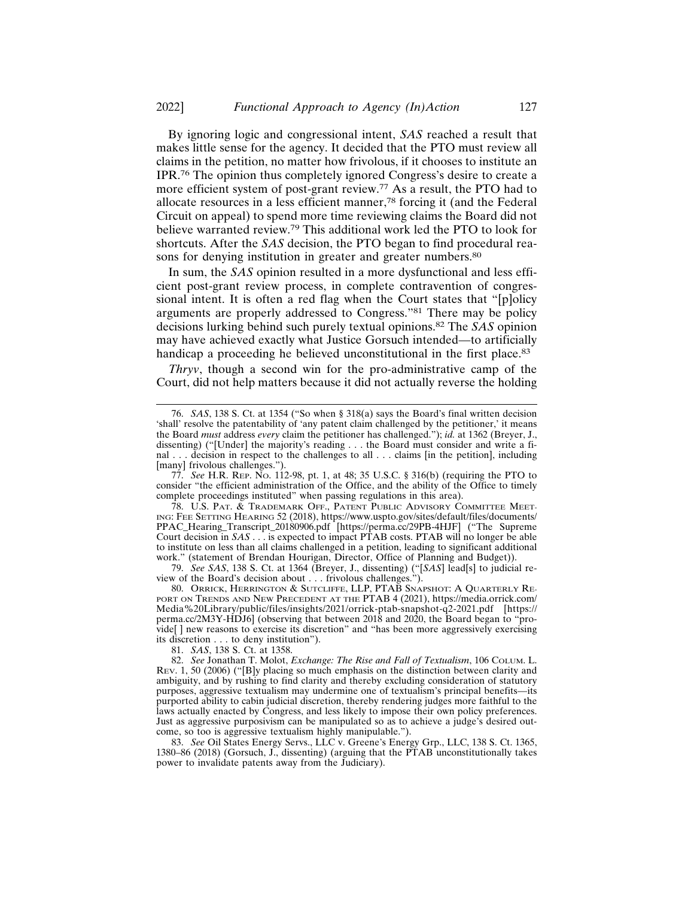By ignoring logic and congressional intent, *SAS* reached a result that makes little sense for the agency. It decided that the PTO must review all claims in the petition, no matter how frivolous, if it chooses to institute an IPR.76 The opinion thus completely ignored Congress's desire to create a more efficient system of post-grant review.77 As a result, the PTO had to allocate resources in a less efficient manner,78 forcing it (and the Federal Circuit on appeal) to spend more time reviewing claims the Board did not believe warranted review.79 This additional work led the PTO to look for shortcuts. After the *SAS* decision, the PTO began to find procedural reasons for denying institution in greater and greater numbers.<sup>80</sup>

In sum, the *SAS* opinion resulted in a more dysfunctional and less efficient post-grant review process, in complete contravention of congressional intent. It is often a red flag when the Court states that "[p]olicy arguments are properly addressed to Congress."81 There may be policy decisions lurking behind such purely textual opinions.82 The *SAS* opinion may have achieved exactly what Justice Gorsuch intended—to artificially handicap a proceeding he believed unconstitutional in the first place.<sup>83</sup>

*Thryv*, though a second win for the pro-administrative camp of the Court, did not help matters because it did not actually reverse the holding

79. *See SAS*, 138 S. Ct. at 1364 (Breyer, J., dissenting) ("[*SAS*] lead[s] to judicial review of the Board's decision about . . . frivolous challenges.").

80. ORRICK, HERRINGTON & SUTCLIFFE, LLP, PTAB SNAPSHOT: A QUARTERLY RE-PORT ON TRENDS AND NEW PRECEDENT AT THE PTAB 4 (2021), https://media.orrick.com/ Media%20Library/public/files/insights/2021/orrick-ptab-snapshot-q2-2021.pdf [https:// perma.cc/2M3Y-HDJ6] (observing that between 2018 and 2020, the Board began to "provide[ ] new reasons to exercise its discretion" and "has been more aggressively exercising its discretion . . . to deny institution").

81. *SAS*, 138 S. Ct. at 1358.

82. *See* Jonathan T. Molot, *Exchange: The Rise and Fall of Textualism*, 106 COLUM. L. REV. 1, 50 (2006) ("[B]y placing so much emphasis on the distinction between clarity and ambiguity, and by rushing to find clarity and thereby excluding consideration of statutory purposes, aggressive textualism may undermine one of textualism's principal benefits—its purported ability to cabin judicial discretion, thereby rendering judges more faithful to the laws actually enacted by Congress, and less likely to impose their own policy preferences. Just as aggressive purposivism can be manipulated so as to achieve a judge's desired outcome, so too is aggressive textualism highly manipulable.").

83. *See* Oil States Energy Servs., LLC v. Greene's Energy Grp., LLC, 138 S. Ct. 1365, 1380–86 (2018) (Gorsuch, J., dissenting) (arguing that the PTAB unconstitutionally takes power to invalidate patents away from the Judiciary).

<sup>76.</sup> *SAS*, 138 S. Ct. at 1354 ("So when § 318(a) says the Board's final written decision 'shall' resolve the patentability of 'any patent claim challenged by the petitioner,' it means the Board *must* address *every* claim the petitioner has challenged."); *id.* at 1362 (Breyer, J., dissenting) ("[Under] the majority's reading . . . the Board must consider and write a final . . . decision in respect to the challenges to all . . . claims [in the petition], including [many] frivolous challenges.").

<sup>77.</sup> *See* H.R. REP. NO. 112-98, pt. 1, at 48; 35 U.S.C. § 316(b) (requiring the PTO to consider "the efficient administration of the Office, and the ability of the Office to timely complete proceedings instituted" when passing regulations in this area).

<sup>78.</sup> U.S. PAT. & TRADEMARK OFF., PATENT PUBLIC ADVISORY COMMITTEE MEET-ING: FEE SETTING HEARING 52 (2018), https://www.uspto.gov/sites/default/files/documents/ PPAC\_Hearing\_Transcript\_20180906.pdf [https://perma.cc/29PB-4HJF] ("The Supreme Court decision in *SAS* . . . is expected to impact PTAB costs. PTAB will no longer be able to institute on less than all claims challenged in a petition, leading to significant additional work." (statement of Brendan Hourigan, Director, Office of Planning and Budget)).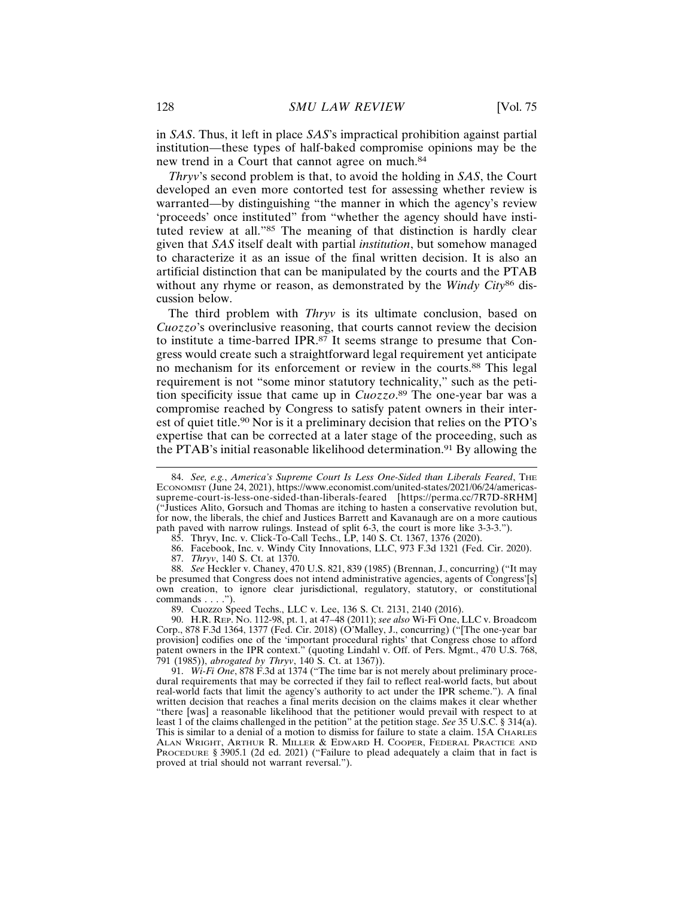in *SAS*. Thus, it left in place *SAS*'s impractical prohibition against partial institution—these types of half-baked compromise opinions may be the new trend in a Court that cannot agree on much.<sup>84</sup>

*Thryv*'s second problem is that, to avoid the holding in *SAS*, the Court developed an even more contorted test for assessing whether review is warranted—by distinguishing "the manner in which the agency's review 'proceeds' once instituted" from "whether the agency should have instituted review at all."85 The meaning of that distinction is hardly clear given that *SAS* itself dealt with partial *institution*, but somehow managed to characterize it as an issue of the final written decision. It is also an artificial distinction that can be manipulated by the courts and the PTAB without any rhyme or reason, as demonstrated by the *Windy City*86 discussion below.

The third problem with *Thryv* is its ultimate conclusion, based on *Cuozzo*'s overinclusive reasoning, that courts cannot review the decision to institute a time-barred IPR.87 It seems strange to presume that Congress would create such a straightforward legal requirement yet anticipate no mechanism for its enforcement or review in the courts.88 This legal requirement is not "some minor statutory technicality," such as the petition specificity issue that came up in *Cuozzo*. 89 The one-year bar was a compromise reached by Congress to satisfy patent owners in their interest of quiet title.90 Nor is it a preliminary decision that relies on the PTO's expertise that can be corrected at a later stage of the proceeding, such as the PTAB's initial reasonable likelihood determination.91 By allowing the

85. Thryv, Inc. v. Click-To-Call Techs., LP, 140 S. Ct. 1367, 1376 (2020).

89. Cuozzo Speed Techs., LLC v. Lee, 136 S. Ct. 2131, 2140 (2016).

<sup>84.</sup> *See, e.g., America's Supreme Court Is Less One-Sided than Liberals Feared*, THE ECONOMIST (June 24, 2021), https://www.economist.com/united-states/2021/06/24/americassupreme-court-is-less-one-sided-than-liberals-feared [https://perma.cc/7R7D-8RHM] ("Justices Alito, Gorsuch and Thomas are itching to hasten a conservative revolution but, for now, the liberals, the chief and Justices Barrett and Kavanaugh are on a more cautious path paved with narrow rulings. Instead of split 6-3, the court is more like 3-3-3.").

<sup>86.</sup> Facebook, Inc. v. Windy City Innovations, LLC, 973 F.3d 1321 (Fed. Cir. 2020).

<sup>87.</sup> *Thryv*, 140 S. Ct. at 1370.

<sup>88.</sup> *See* Heckler v. Chaney, 470 U.S. 821, 839 (1985) (Brennan, J., concurring) ("It may be presumed that Congress does not intend administrative agencies, agents of Congress'[s] own creation, to ignore clear jurisdictional, regulatory, statutory, or constitutional commands . . . .").

<sup>90.</sup> H.R. REP. NO. 112-98, pt. 1, at 47–48 (2011); *see also* Wi-Fi One, LLC v. Broadcom Corp., 878 F.3d 1364, 1377 (Fed. Cir. 2018) (O'Malley, J., concurring) ("[The one-year bar provision] codifies one of the 'important procedural rights' that Congress chose to afford patent owners in the IPR context." (quoting Lindahl v. Off. of Pers. Mgmt., 470 U.S. 768, 791 (1985)), *abrogated by Thryv*, 140 S. Ct. at 1367)).

<sup>91.</sup> *Wi-Fi One*, 878 F.3d at 1374 ("The time bar is not merely about preliminary procedural requirements that may be corrected if they fail to reflect real-world facts, but about real-world facts that limit the agency's authority to act under the IPR scheme."). A final written decision that reaches a final merits decision on the claims makes it clear whether "there [was] a reasonable likelihood that the petitioner would prevail with respect to at least 1 of the claims challenged in the petition" at the petition stage. *See* 35 U.S.C. § 314(a). This is similar to a denial of a motion to dismiss for failure to state a claim. 15A CHARLES ALAN WRIGHT, ARTHUR R. MILLER & EDWARD H. COOPER, FEDERAL PRACTICE AND PROCEDURE § 3905.1 (2d ed. 2021) ("Failure to plead adequately a claim that in fact is proved at trial should not warrant reversal.").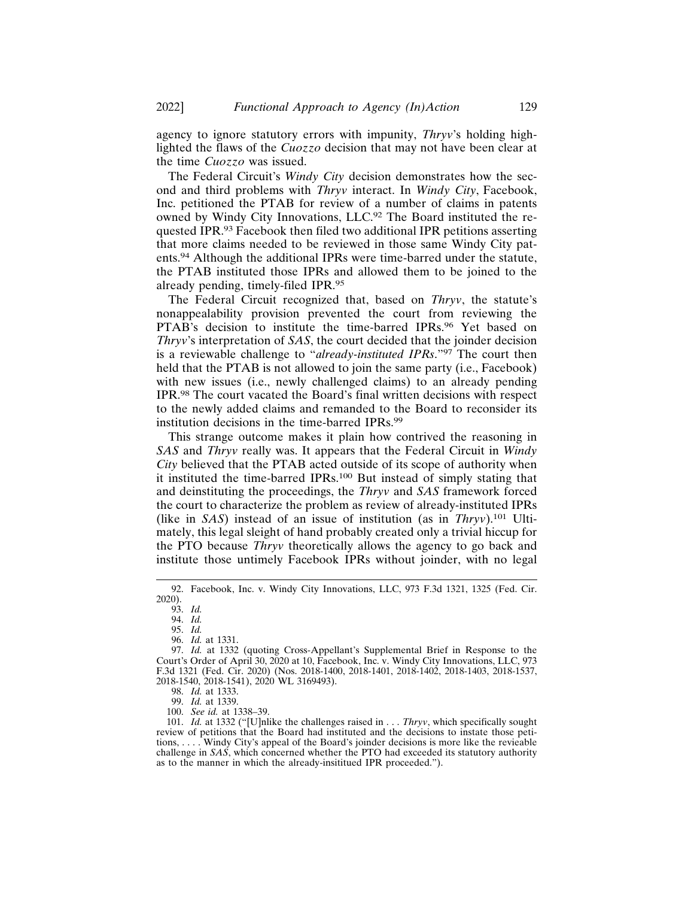agency to ignore statutory errors with impunity, *Thryv*'s holding highlighted the flaws of the *Cuozzo* decision that may not have been clear at the time *Cuozzo* was issued.

The Federal Circuit's *Windy City* decision demonstrates how the second and third problems with *Thryv* interact. In *Windy City*, Facebook, Inc. petitioned the PTAB for review of a number of claims in patents owned by Windy City Innovations, LLC.92 The Board instituted the requested IPR.93 Facebook then filed two additional IPR petitions asserting that more claims needed to be reviewed in those same Windy City patents.94 Although the additional IPRs were time-barred under the statute, the PTAB instituted those IPRs and allowed them to be joined to the already pending, timely-filed IPR.<sup>95</sup>

The Federal Circuit recognized that, based on *Thryv*, the statute's nonappealability provision prevented the court from reviewing the PTAB's decision to institute the time-barred IPRs.<sup>96</sup> Yet based on *Thryv*'s interpretation of *SAS*, the court decided that the joinder decision is a reviewable challenge to "*already-instituted IPRs*."97 The court then held that the PTAB is not allowed to join the same party (i.e., Facebook) with new issues (i.e., newly challenged claims) to an already pending IPR.98 The court vacated the Board's final written decisions with respect to the newly added claims and remanded to the Board to reconsider its institution decisions in the time-barred IPRs.<sup>99</sup>

This strange outcome makes it plain how contrived the reasoning in *SAS* and *Thryv* really was. It appears that the Federal Circuit in *Windy City* believed that the PTAB acted outside of its scope of authority when it instituted the time-barred IPRs.100 But instead of simply stating that and deinstituting the proceedings, the *Thryv* and *SAS* framework forced the court to characterize the problem as review of already-instituted IPRs (like in *SAS*) instead of an issue of institution (as in *Thryv*).101 Ultimately, this legal sleight of hand probably created only a trivial hiccup for the PTO because *Thryv* theoretically allows the agency to go back and institute those untimely Facebook IPRs without joinder, with no legal

101. *Id.* at 1332 ("[U]nlike the challenges raised in . . . *Thryv*, which specifically sought review of petitions that the Board had instituted and the decisions to instate those petitions, . . . . Windy City's appeal of the Board's joinder decisions is more like the revieable challenge in *SAS*, which concerned whether the PTO had exceeded its statutory authority as to the manner in which the already-insititued IPR proceeded.").

<sup>92.</sup> Facebook, Inc. v. Windy City Innovations, LLC, 973 F.3d 1321, 1325 (Fed. Cir. 2020).

<sup>93.</sup> *Id.*

<sup>94.</sup> *Id.*

<sup>95.</sup> *Id.*

<sup>96.</sup> *Id.* at 1331.

<sup>97.</sup> *Id.* at 1332 (quoting Cross-Appellant's Supplemental Brief in Response to the Court's Order of April 30, 2020 at 10, Facebook, Inc. v. Windy City Innovations, LLC, 973 F.3d 1321 (Fed. Cir. 2020) (Nos. 2018-1400, 2018-1401, 2018-1402, 2018-1403, 2018-1537, 2018-1540, 2018-1541), 2020 WL 3169493).

<sup>98.</sup> *Id.* at 1333.

<sup>99.</sup> *Id.* at 1339.

<sup>100.</sup> *See id.* at 1338–39.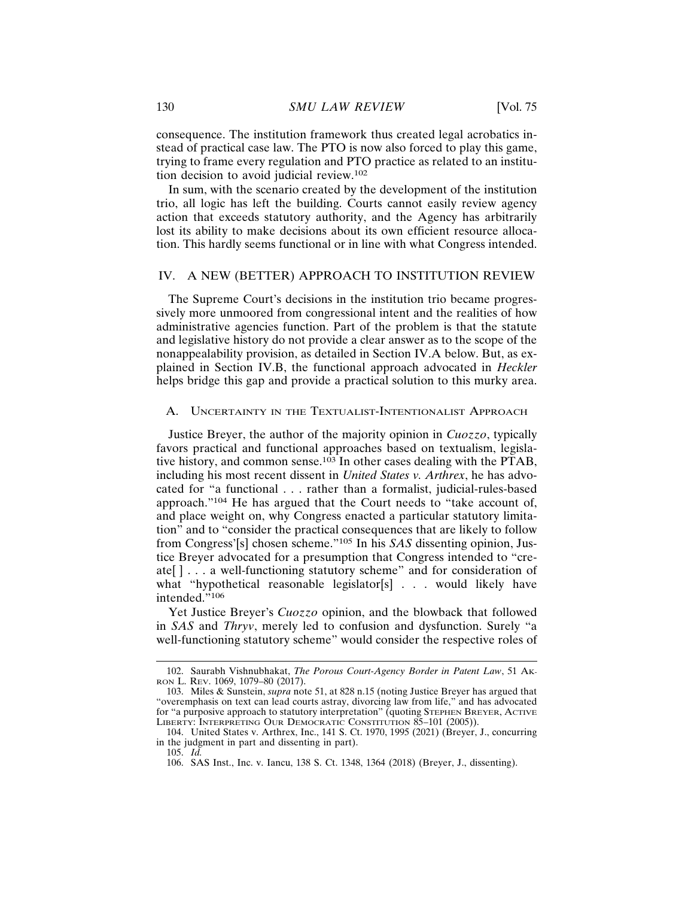consequence. The institution framework thus created legal acrobatics instead of practical case law. The PTO is now also forced to play this game, trying to frame every regulation and PTO practice as related to an institution decision to avoid judicial review.<sup>102</sup>

In sum, with the scenario created by the development of the institution trio, all logic has left the building. Courts cannot easily review agency action that exceeds statutory authority, and the Agency has arbitrarily lost its ability to make decisions about its own efficient resource allocation. This hardly seems functional or in line with what Congress intended.

### IV. A NEW (BETTER) APPROACH TO INSTITUTION REVIEW

The Supreme Court's decisions in the institution trio became progressively more unmoored from congressional intent and the realities of how administrative agencies function. Part of the problem is that the statute and legislative history do not provide a clear answer as to the scope of the nonappealability provision, as detailed in Section IV.A below. But, as explained in Section IV.B, the functional approach advocated in *Heckler* helps bridge this gap and provide a practical solution to this murky area.

## A. UNCERTAINTY IN THE TEXTUALIST-INTENTIONALIST APPROACH

Justice Breyer, the author of the majority opinion in *Cuozzo*, typically favors practical and functional approaches based on textualism, legislative history, and common sense.103 In other cases dealing with the PTAB, including his most recent dissent in *United States v. Arthrex*, he has advocated for "a functional . . . rather than a formalist, judicial-rules-based approach."104 He has argued that the Court needs to "take account of, and place weight on, why Congress enacted a particular statutory limitation" and to "consider the practical consequences that are likely to follow from Congress'[s] chosen scheme."105 In his *SAS* dissenting opinion, Justice Breyer advocated for a presumption that Congress intended to "create[ ] . . . a well-functioning statutory scheme" and for consideration of what "hypothetical reasonable legislator[s] . . . would likely have intended."106

Yet Justice Breyer's *Cuozzo* opinion, and the blowback that followed in *SAS* and *Thryv*, merely led to confusion and dysfunction. Surely "a well-functioning statutory scheme" would consider the respective roles of

<sup>102.</sup> Saurabh Vishnubhakat, *The Porous Court-Agency Border in Patent Law*, 51 AK-RON L. REV. 1069, 1079–80 (2017).

<sup>103.</sup> Miles & Sunstein, *supra* note 51, at 828 n.15 (noting Justice Breyer has argued that "overemphasis on text can lead courts astray, divorcing law from life," and has advocated for "a purposive approach to statutory interpretation" (quoting STEPHEN BREYER, ACTIVE LIBERTY: INTERPRETING OUR DEMOCRATIC CONSTITUTION 85-101 (2005)).

<sup>104.</sup> United States v. Arthrex, Inc., 141 S. Ct. 1970, 1995 (2021) (Breyer, J., concurring in the judgment in part and dissenting in part).

<sup>105.</sup> *Id.*

<sup>106.</sup> SAS Inst., Inc. v. Iancu, 138 S. Ct. 1348, 1364 (2018) (Breyer, J., dissenting).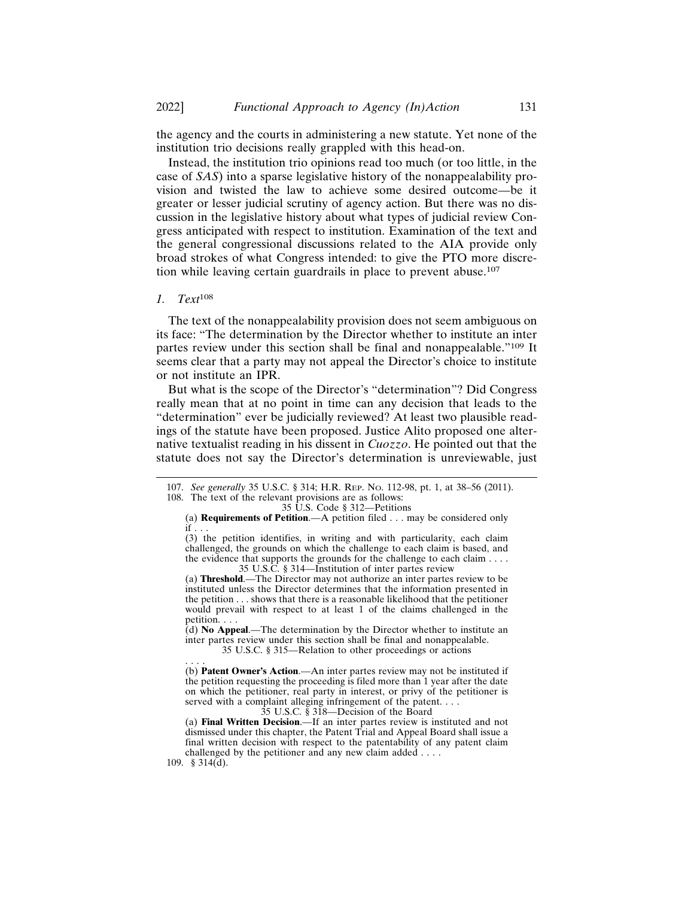the agency and the courts in administering a new statute. Yet none of the institution trio decisions really grappled with this head-on.

Instead, the institution trio opinions read too much (or too little, in the case of *SAS*) into a sparse legislative history of the nonappealability provision and twisted the law to achieve some desired outcome—be it greater or lesser judicial scrutiny of agency action. But there was no discussion in the legislative history about what types of judicial review Congress anticipated with respect to institution. Examination of the text and the general congressional discussions related to the AIA provide only broad strokes of what Congress intended: to give the PTO more discretion while leaving certain guardrails in place to prevent abuse.<sup>107</sup>

#### *1. Text*<sup>108</sup>

The text of the nonappealability provision does not seem ambiguous on its face: "The determination by the Director whether to institute an inter partes review under this section shall be final and nonappealable."109 It seems clear that a party may not appeal the Director's choice to institute or not institute an IPR.

But what is the scope of the Director's "determination"? Did Congress really mean that at no point in time can any decision that leads to the "determination" ever be judicially reviewed? At least two plausible readings of the statute have been proposed. Justice Alito proposed one alternative textualist reading in his dissent in *Cuozzo*. He pointed out that the statute does not say the Director's determination is unreviewable, just

35 U.S. Code § 312—Petitions

(3) the petition identifies, in writing and with particularity, each claim challenged, the grounds on which the challenge to each claim is based, and the evidence that supports the grounds for the challenge to each claim . . . . 35 U.S.C. § 314—Institution of inter partes review

(a) **Threshold**.—The Director may not authorize an inter partes review to be instituted unless the Director determines that the information presented in the petition . . . shows that there is a reasonable likelihood that the petitioner would prevail with respect to at least 1 of the claims challenged in the petition. . . .

(d) **No Appeal**.—The determination by the Director whether to institute an inter partes review under this section shall be final and nonappealable. 35 U.S.C. § 315—Relation to other proceedings or actions

. . . . (b) **Patent Owner's Action**.—An inter partes review may not be instituted if the petition requesting the proceeding is filed more than 1 year after the date on which the petitioner, real party in interest, or privy of the petitioner is served with a complaint alleging infringement of the patent. . . .

35 U.S.C. § 318—Decision of the Board

(a) **Final Written Decision**.—If an inter partes review is instituted and not dismissed under this chapter, the Patent Trial and Appeal Board shall issue a final written decision with respect to the patentability of any patent claim challenged by the petitioner and any new claim added . . . .

<sup>107.</sup> *See generally* 35 U.S.C. § 314; H.R. REP. NO. 112-98, pt. 1, at 38–56 (2011). 108. The text of the relevant provisions are as follows:

<sup>(</sup>a) **Requirements of Petition**.—A petition filed . . . may be considered only if . . .

<sup>109. § 314(</sup>d).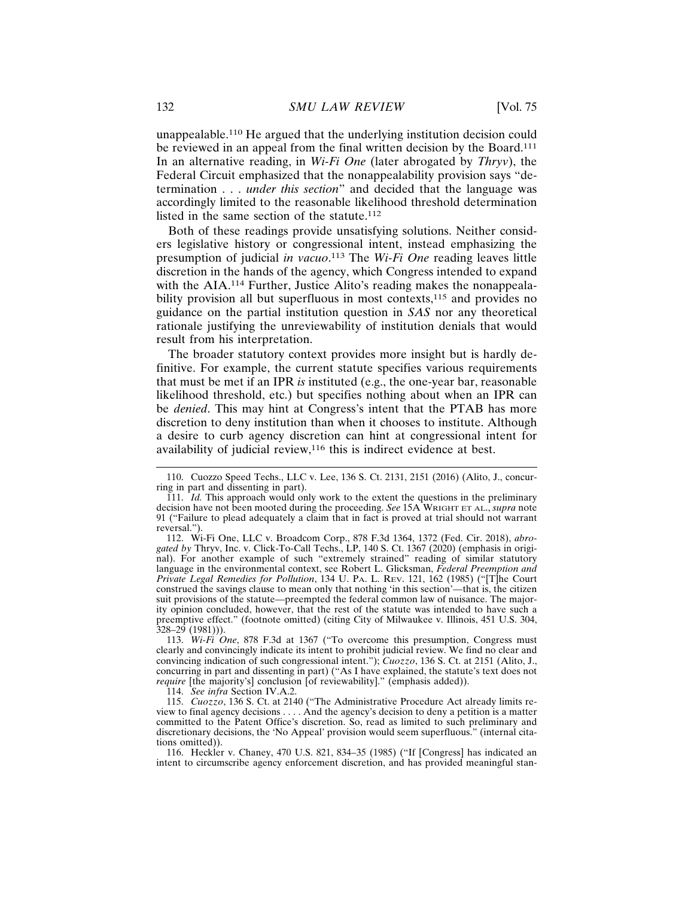unappealable.110 He argued that the underlying institution decision could be reviewed in an appeal from the final written decision by the Board.<sup>111</sup> In an alternative reading, in *Wi-Fi One* (later abrogated by *Thryv*), the Federal Circuit emphasized that the nonappealability provision says "determination . . . *under this section*" and decided that the language was accordingly limited to the reasonable likelihood threshold determination listed in the same section of the statute.<sup>112</sup>

Both of these readings provide unsatisfying solutions. Neither considers legislative history or congressional intent, instead emphasizing the presumption of judicial *in vacuo*. 113 The *Wi-Fi One* reading leaves little discretion in the hands of the agency, which Congress intended to expand with the AIA.<sup>114</sup> Further, Justice Alito's reading makes the nonappealability provision all but superfluous in most contexts,<sup>115</sup> and provides no guidance on the partial institution question in *SAS* nor any theoretical rationale justifying the unreviewability of institution denials that would result from his interpretation.

The broader statutory context provides more insight but is hardly definitive. For example, the current statute specifies various requirements that must be met if an IPR *is* instituted (e.g., the one-year bar, reasonable likelihood threshold, etc.) but specifies nothing about when an IPR can be *denied*. This may hint at Congress's intent that the PTAB has more discretion to deny institution than when it chooses to institute. Although a desire to curb agency discretion can hint at congressional intent for availability of judicial review,116 this is indirect evidence at best.

114. *See infra* Section IV.A.2.

115. *Cuozzo*, 136 S. Ct. at 2140 ("The Administrative Procedure Act already limits review to final agency decisions . . . . And the agency's decision to deny a petition is a matter committed to the Patent Office's discretion. So, read as limited to such preliminary and discretionary decisions, the 'No Appeal' provision would seem superfluous." (internal citations omitted)).

116. Heckler v. Chaney, 470 U.S. 821, 834–35 (1985) ("If [Congress] has indicated an intent to circumscribe agency enforcement discretion, and has provided meaningful stan-

<sup>110.</sup> Cuozzo Speed Techs., LLC v. Lee, 136 S. Ct. 2131, 2151 (2016) (Alito, J., concurring in part and dissenting in part).

<sup>111.</sup> *Id.* This approach would only work to the extent the questions in the preliminary decision have not been mooted during the proceeding. *See* 15A WRIGHT ET AL., *supra* note 91 ("Failure to plead adequately a claim that in fact is proved at trial should not warrant reversal.").

<sup>112.</sup> Wi-Fi One, LLC v. Broadcom Corp., 878 F.3d 1364, 1372 (Fed. Cir. 2018), *abrogated by* Thryv, Inc. v. Click-To-Call Techs., LP, 140 S. Ct. 1367 (2020) (emphasis in original). For another example of such "extremely strained" reading of similar statutory language in the environmental context, see Robert L. Glicksman, *Federal Preemption and Private Legal Remedies for Pollution*, 134 U. PA. L. REV. 121, 162 (1985) ("[T]he Court construed the savings clause to mean only that nothing 'in this section'—that is, the citizen suit provisions of the statute—preempted the federal common law of nuisance. The majority opinion concluded, however, that the rest of the statute was intended to have such a preemptive effect." (footnote omitted) (citing City of Milwaukee v. Illinois, 451 U.S. 304, 328–29 (1981))).

<sup>113.</sup> *Wi-Fi One*, 878 F.3d at 1367 ("To overcome this presumption, Congress must clearly and convincingly indicate its intent to prohibit judicial review. We find no clear and convincing indication of such congressional intent."); *Cuozzo*, 136 S. Ct. at 2151 (Alito, J., concurring in part and dissenting in part) ("As I have explained, the statute's text does not *require* [the majority's] conclusion [of reviewability]." (emphasis added)).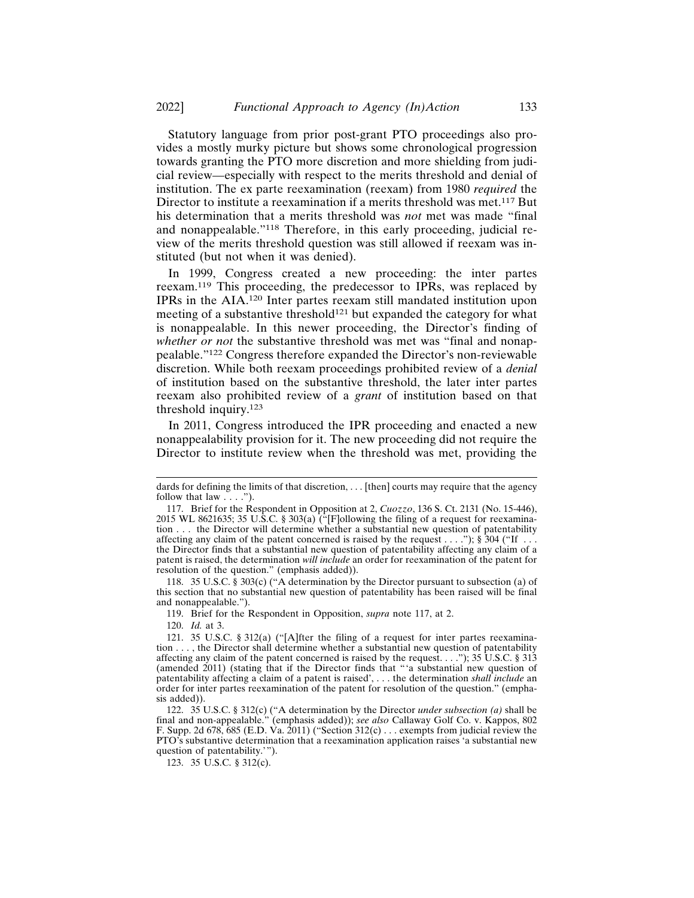Statutory language from prior post-grant PTO proceedings also provides a mostly murky picture but shows some chronological progression towards granting the PTO more discretion and more shielding from judicial review—especially with respect to the merits threshold and denial of institution. The ex parte reexamination (reexam) from 1980 *required* the Director to institute a reexamination if a merits threshold was met.<sup>117</sup> But his determination that a merits threshold was *not* met was made "final and nonappealable."118 Therefore, in this early proceeding, judicial review of the merits threshold question was still allowed if reexam was instituted (but not when it was denied).

In 1999, Congress created a new proceeding: the inter partes reexam.119 This proceeding, the predecessor to IPRs, was replaced by IPRs in the AIA.120 Inter partes reexam still mandated institution upon meeting of a substantive threshold<sup>121</sup> but expanded the category for what is nonappealable. In this newer proceeding, the Director's finding of *whether or not* the substantive threshold was met was "final and nonappealable."122 Congress therefore expanded the Director's non-reviewable discretion. While both reexam proceedings prohibited review of a *denial* of institution based on the substantive threshold, the later inter partes reexam also prohibited review of a *grant* of institution based on that threshold inquiry.<sup>123</sup>

In 2011, Congress introduced the IPR proceeding and enacted a new nonappealability provision for it. The new proceeding did not require the Director to institute review when the threshold was met, providing the

118. 35 U.S.C. § 303(c) ("A determination by the Director pursuant to subsection (a) of this section that no substantial new question of patentability has been raised will be final and nonappealable.").

119. Brief for the Respondent in Opposition, *supra* note 117, at 2.

120. *Id.* at 3.

dards for defining the limits of that discretion, . . . [then] courts may require that the agency follow that law . . . .").

<sup>117.</sup> Brief for the Respondent in Opposition at 2, *Cuozzo*, 136 S. Ct. 2131 (No. 15-446), 2015 WL 8621635; 35 U.S.C. § 303(a)  $(\text{``F}$  ollowing the filing of a request for reexamination . . . the Director will determine whether a substantial new question of patentability affecting any claim of the patent concerned is raised by the request  $\dots$  "); § 304 ("If  $\dots$ the Director finds that a substantial new question of patentability affecting any claim of a patent is raised, the determination *will include* an order for reexamination of the patent for resolution of the question." (emphasis added)).

<sup>121. 35</sup> U.S.C. § 312(a) ("[A]fter the filing of a request for inter partes reexamination . . . , the Director shall determine whether a substantial new question of patentability affecting any claim of the patent concerned is raised by the request. . . ."); 35 U.S.C. § 313 (amended 2011) (stating that if the Director finds that "'a substantial new question of patentability affecting a claim of a patent is raised', . . . the determination *shall include* an order for inter partes reexamination of the patent for resolution of the question." (emphasis added)).

<sup>122. 35</sup> U.S.C. § 312(c) ("A determination by the Director *under subsection (a)* shall be final and non-appealable." (emphasis added)); *see also* Callaway Golf Co. v. Kappos, 802 F. Supp. 2d 678, 685 (E.D. Va. 2011) ("Section 312(c) . . . exempts from judicial review the PTO's substantive determination that a reexamination application raises 'a substantial new question of patentability.'").

<sup>123. 35</sup> U.S.C. § 312(c).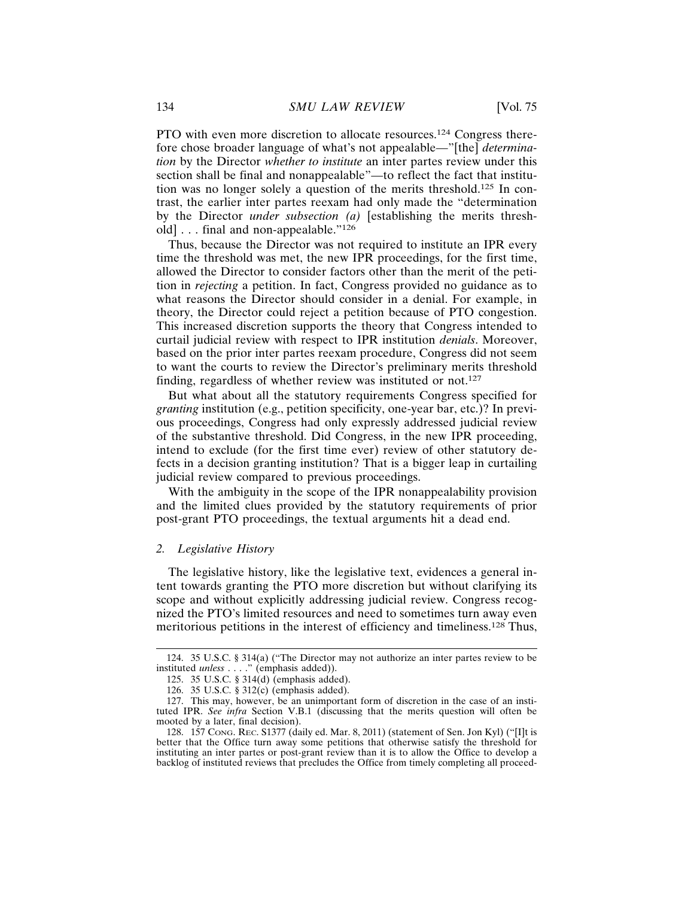PTO with even more discretion to allocate resources.124 Congress therefore chose broader language of what's not appealable—"[the] *determination* by the Director *whether to institute* an inter partes review under this section shall be final and nonappealable"—to reflect the fact that institution was no longer solely a question of the merits threshold.125 In contrast, the earlier inter partes reexam had only made the "determination by the Director *under subsection (a)* [establishing the merits threshold] . . . final and non-appealable."<sup>126</sup>

Thus, because the Director was not required to institute an IPR every time the threshold was met, the new IPR proceedings, for the first time, allowed the Director to consider factors other than the merit of the petition in *rejecting* a petition. In fact, Congress provided no guidance as to what reasons the Director should consider in a denial. For example, in theory, the Director could reject a petition because of PTO congestion. This increased discretion supports the theory that Congress intended to curtail judicial review with respect to IPR institution *denials*. Moreover, based on the prior inter partes reexam procedure, Congress did not seem to want the courts to review the Director's preliminary merits threshold finding, regardless of whether review was instituted or not.<sup>127</sup>

But what about all the statutory requirements Congress specified for *granting* institution (e.g., petition specificity, one-year bar, etc.)? In previous proceedings, Congress had only expressly addressed judicial review of the substantive threshold. Did Congress, in the new IPR proceeding, intend to exclude (for the first time ever) review of other statutory defects in a decision granting institution? That is a bigger leap in curtailing judicial review compared to previous proceedings.

With the ambiguity in the scope of the IPR nonappealability provision and the limited clues provided by the statutory requirements of prior post-grant PTO proceedings, the textual arguments hit a dead end.

## *2. Legislative History*

The legislative history, like the legislative text, evidences a general intent towards granting the PTO more discretion but without clarifying its scope and without explicitly addressing judicial review. Congress recognized the PTO's limited resources and need to sometimes turn away even meritorious petitions in the interest of efficiency and timeliness.128 Thus,

<sup>124. 35</sup> U.S.C. § 314(a) ("The Director may not authorize an inter partes review to be instituted *unless* . . . ." (emphasis added)).

<sup>125. 35</sup> U.S.C. § 314(d) (emphasis added).

<sup>126. 35</sup> U.S.C. § 312(c) (emphasis added).

<sup>127.</sup> This may, however, be an unimportant form of discretion in the case of an instituted IPR. *See infra* Section V.B.1 (discussing that the merits question will often be mooted by a later, final decision).

<sup>128. 157</sup> CONG. REC. S1377 (daily ed. Mar. 8, 2011) (statement of Sen. Jon Kyl) ("[I]t is better that the Office turn away some petitions that otherwise satisfy the threshold for instituting an inter partes or post-grant review than it is to allow the Office to develop a backlog of instituted reviews that precludes the Office from timely completing all proceed-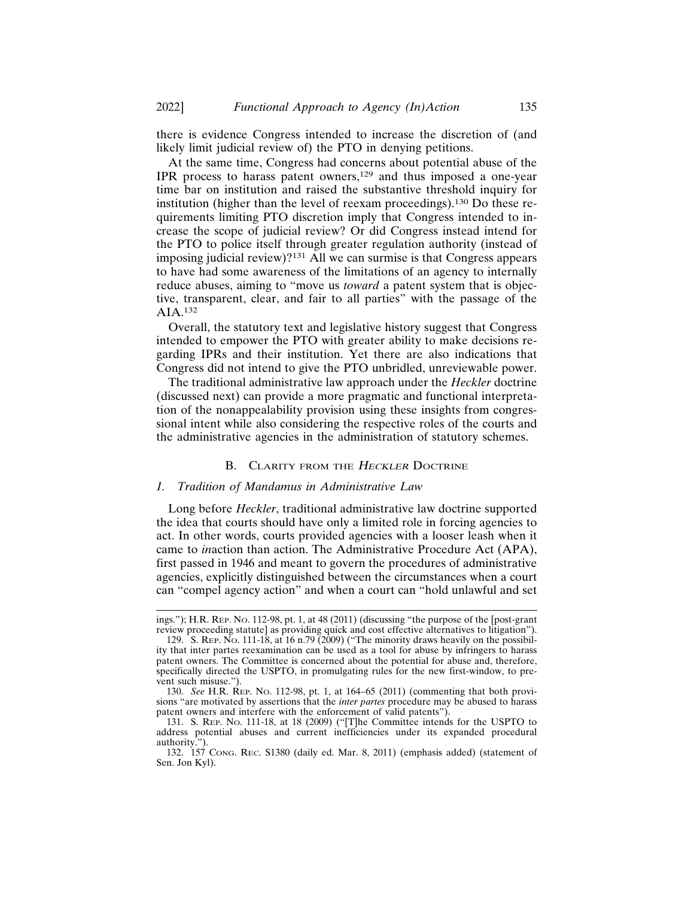there is evidence Congress intended to increase the discretion of (and likely limit judicial review of) the PTO in denying petitions.

At the same time, Congress had concerns about potential abuse of the IPR process to harass patent owners,129 and thus imposed a one-year time bar on institution and raised the substantive threshold inquiry for institution (higher than the level of reexam proceedings).130 Do these requirements limiting PTO discretion imply that Congress intended to increase the scope of judicial review? Or did Congress instead intend for the PTO to police itself through greater regulation authority (instead of imposing judicial review)?131 All we can surmise is that Congress appears to have had some awareness of the limitations of an agency to internally reduce abuses, aiming to "move us *toward* a patent system that is objective, transparent, clear, and fair to all parties" with the passage of the AIA.132

Overall, the statutory text and legislative history suggest that Congress intended to empower the PTO with greater ability to make decisions regarding IPRs and their institution. Yet there are also indications that Congress did not intend to give the PTO unbridled, unreviewable power.

The traditional administrative law approach under the *Heckler* doctrine (discussed next) can provide a more pragmatic and functional interpretation of the nonappealability provision using these insights from congressional intent while also considering the respective roles of the courts and the administrative agencies in the administration of statutory schemes.

#### B. CLARITY FROM THE HECKLER DOCTRINE

## *1. Tradition of Mandamus in Administrative Law*

Long before *Heckler*, traditional administrative law doctrine supported the idea that courts should have only a limited role in forcing agencies to act. In other words, courts provided agencies with a looser leash when it came to *in*action than action. The Administrative Procedure Act (APA), first passed in 1946 and meant to govern the procedures of administrative agencies, explicitly distinguished between the circumstances when a court can "compel agency action" and when a court can "hold unlawful and set

ings."); H.R. REP. NO. 112-98, pt. 1, at 48 (2011) (discussing "the purpose of the [post-grant review proceeding statute] as providing quick and cost effective alternatives to litigation").

<sup>129.</sup> S. Rep. No. 111-18, at 16 n.79 (2009) ("The minority draws heavily on the possibility that inter partes reexamination can be used as a tool for abuse by infringers to harass patent owners. The Committee is concerned about the potential for abuse and, therefore, specifically directed the USPTO, in promulgating rules for the new first-window, to prevent such misuse.").

<sup>130.</sup> *See* H.R. REP. NO. 112-98, pt. 1, at 164–65 (2011) (commenting that both provisions "are motivated by assertions that the *inter partes* procedure may be abused to harass patent owners and interfere with the enforcement of valid patents").

<sup>131.</sup> S. REP. NO. 111-18, at 18 (2009) ("[T]he Committee intends for the USPTO to address potential abuses and current inefficiencies under its expanded procedural authority.").

<sup>132. 157</sup> CONG. REC. S1380 (daily ed. Mar. 8, 2011) (emphasis added) (statement of Sen. Jon Kyl).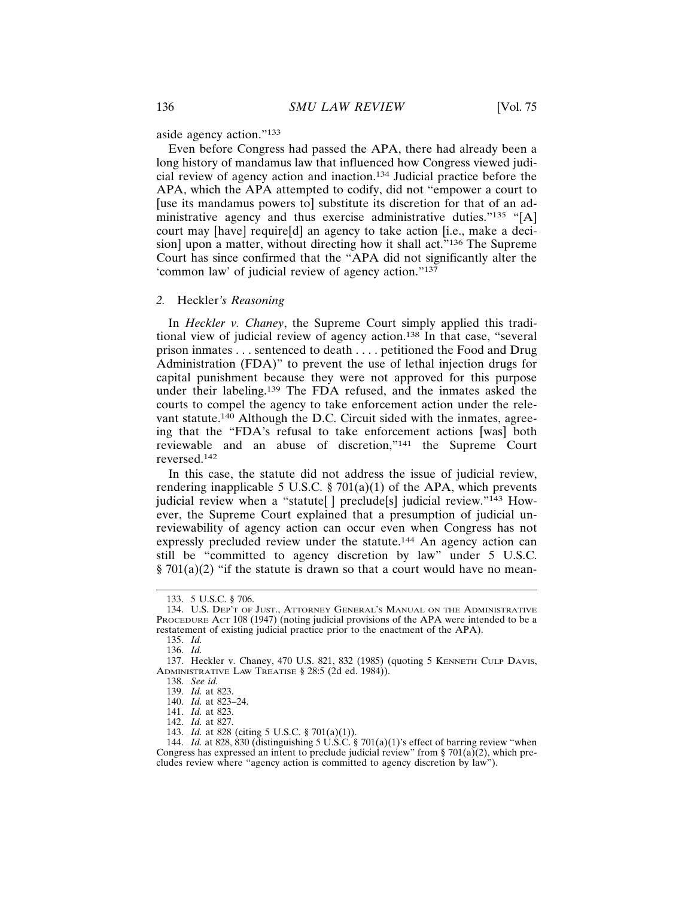aside agency action."<sup>133</sup>

Even before Congress had passed the APA, there had already been a long history of mandamus law that influenced how Congress viewed judicial review of agency action and inaction.134 Judicial practice before the APA, which the APA attempted to codify, did not "empower a court to [use its mandamus powers to] substitute its discretion for that of an administrative agency and thus exercise administrative duties."<sup>135</sup> "[A] court may [have] require[d] an agency to take action [i.e., make a decision] upon a matter, without directing how it shall act."<sup>136</sup> The Supreme Court has since confirmed that the "APA did not significantly alter the 'common law' of judicial review of agency action."<sup>137</sup>

## *2.* Heckler*'s Reasoning*

In *Heckler v. Chaney*, the Supreme Court simply applied this traditional view of judicial review of agency action.138 In that case, "several prison inmates . . . sentenced to death . . . . petitioned the Food and Drug Administration (FDA)" to prevent the use of lethal injection drugs for capital punishment because they were not approved for this purpose under their labeling.139 The FDA refused, and the inmates asked the courts to compel the agency to take enforcement action under the relevant statute.<sup>140</sup> Although the D.C. Circuit sided with the inmates, agreeing that the "FDA's refusal to take enforcement actions [was] both reviewable and an abuse of discretion,"141 the Supreme Court reversed.<sup>142</sup>

In this case, the statute did not address the issue of judicial review, rendering inapplicable 5 U.S.C. § 701(a)(1) of the APA, which prevents judicial review when a "statute[] preclude[s] judicial review."<sup>143</sup> However, the Supreme Court explained that a presumption of judicial unreviewability of agency action can occur even when Congress has not expressly precluded review under the statute.144 An agency action can still be "committed to agency discretion by law" under 5 U.S.C.  $\S 701(a)(2)$  "if the statute is drawn so that a court would have no mean-

<sup>133. 5</sup> U.S.C. § 706.

<sup>134.</sup> U.S. DEP'T OF JUST., ATTORNEY GENERAL'S MANUAL ON THE ADMINISTRATIVE PROCEDURE ACT 108 (1947) (noting judicial provisions of the APA were intended to be a restatement of existing judicial practice prior to the enactment of the APA).

<sup>135.</sup> *Id.*

<sup>136.</sup> *Id.*

<sup>137.</sup> Heckler v. Chaney, 470 U.S. 821, 832 (1985) (quoting 5 KENNETH CULP DAVIS, ADMINISTRATIVE LAW TREATISE § 28:5 (2d ed. 1984)).

<sup>138.</sup> *See id.*

<sup>139.</sup> *Id.* at 823.

<sup>140.</sup> *Id.* at 823–24.

<sup>141.</sup> *Id.* at 823.

<sup>142.</sup> *Id.* at 827.

<sup>143.</sup> *Id.* at 828 (citing 5 U.S.C. § 701(a)(1)).

<sup>144.</sup> *Id.* at 828, 830 (distinguishing 5 U.S.C. § 701(a)(1)'s effect of barring review "when Congress has expressed an intent to preclude judicial review" from  $\S 701(a)(2)$ , which precludes review where "agency action is committed to agency discretion by law").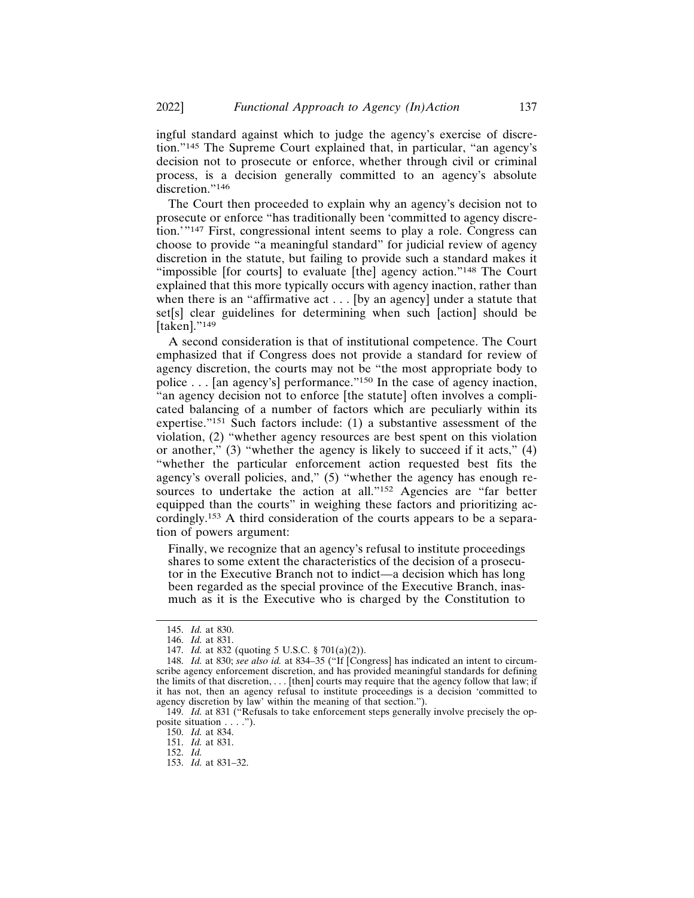ingful standard against which to judge the agency's exercise of discretion."145 The Supreme Court explained that, in particular, "an agency's decision not to prosecute or enforce, whether through civil or criminal process, is a decision generally committed to an agency's absolute discretion."<sup>146</sup>

The Court then proceeded to explain why an agency's decision not to prosecute or enforce "has traditionally been 'committed to agency discretion.'"147 First, congressional intent seems to play a role. Congress can choose to provide "a meaningful standard" for judicial review of agency discretion in the statute, but failing to provide such a standard makes it "impossible [for courts] to evaluate [the] agency action."148 The Court explained that this more typically occurs with agency inaction, rather than when there is an "affirmative act . . . [by an agency] under a statute that set[s] clear guidelines for determining when such [action] should be [taken]."<sup>149</sup>

A second consideration is that of institutional competence. The Court emphasized that if Congress does not provide a standard for review of agency discretion, the courts may not be "the most appropriate body to police . . . [an agency's] performance."150 In the case of agency inaction, "an agency decision not to enforce [the statute] often involves a complicated balancing of a number of factors which are peculiarly within its expertise."151 Such factors include: (1) a substantive assessment of the violation, (2) "whether agency resources are best spent on this violation or another," (3) "whether the agency is likely to succeed if it acts," (4) "whether the particular enforcement action requested best fits the agency's overall policies, and," (5) "whether the agency has enough resources to undertake the action at all."<sup>152</sup> Agencies are "far better equipped than the courts" in weighing these factors and prioritizing accordingly.153 A third consideration of the courts appears to be a separation of powers argument:

Finally, we recognize that an agency's refusal to institute proceedings shares to some extent the characteristics of the decision of a prosecutor in the Executive Branch not to indict—a decision which has long been regarded as the special province of the Executive Branch, inasmuch as it is the Executive who is charged by the Constitution to

<sup>145.</sup> *Id.* at 830.

<sup>146.</sup> *Id.* at 831.

<sup>147.</sup> *Id.* at 832 (quoting 5 U.S.C. § 701(a)(2)).

<sup>148.</sup> *Id.* at 830; *see also id.* at 834–35 ("If [Congress] has indicated an intent to circumscribe agency enforcement discretion, and has provided meaningful standards for defining the limits of that discretion, . . . [then] courts may require that the agency follow that law; if it has not, then an agency refusal to institute proceedings is a decision 'committed to agency discretion by law' within the meaning of that section.").

<sup>149.</sup> *Id.* at 831 ("Refusals to take enforcement steps generally involve precisely the opposite situation . . . .").

<sup>150.</sup> *Id.* at 834.

<sup>151.</sup> *Id.* at 831.

<sup>152.</sup> *Id.*

<sup>153.</sup> *Id.* at 831–32.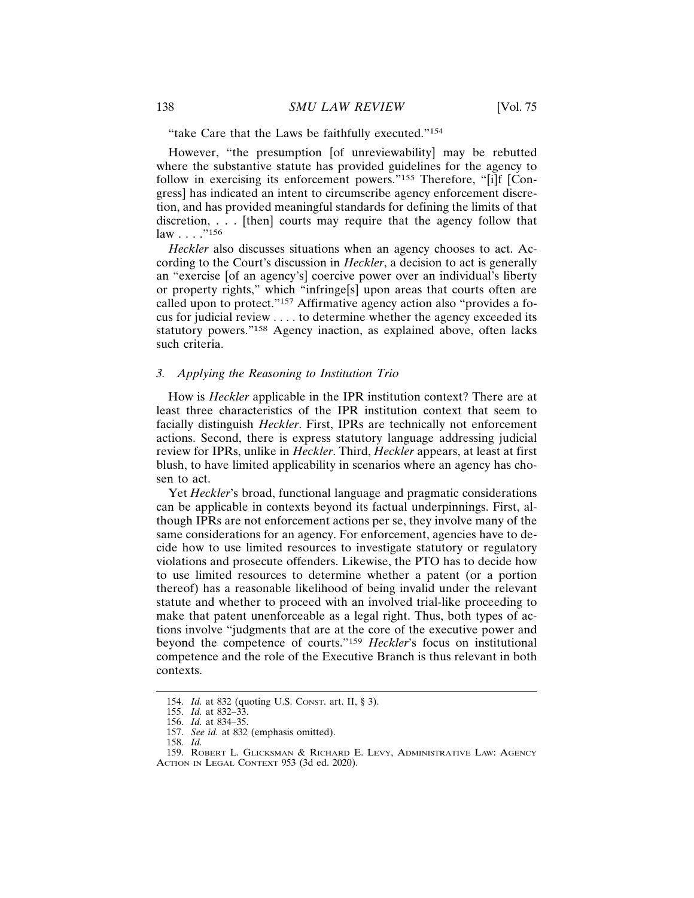"take Care that the Laws be faithfully executed."<sup>154</sup>

However, "the presumption [of unreviewability] may be rebutted where the substantive statute has provided guidelines for the agency to follow in exercising its enforcement powers."<sup>155</sup> Therefore, "[i]f [Congress] has indicated an intent to circumscribe agency enforcement discretion, and has provided meaningful standards for defining the limits of that discretion, . . . [then] courts may require that the agency follow that law . . . ."<sup>156</sup>

*Heckler* also discusses situations when an agency chooses to act. According to the Court's discussion in *Heckler*, a decision to act is generally an "exercise [of an agency's] coercive power over an individual's liberty or property rights," which "infringe[s] upon areas that courts often are called upon to protect."157 Affirmative agency action also "provides a focus for judicial review . . . . to determine whether the agency exceeded its statutory powers."158 Agency inaction, as explained above, often lacks such criteria.

## *3. Applying the Reasoning to Institution Trio*

How is *Heckler* applicable in the IPR institution context? There are at least three characteristics of the IPR institution context that seem to facially distinguish *Heckler*. First, IPRs are technically not enforcement actions. Second, there is express statutory language addressing judicial review for IPRs, unlike in *Heckler*. Third, *Heckler* appears, at least at first blush, to have limited applicability in scenarios where an agency has chosen to act.

Yet *Heckler*'s broad, functional language and pragmatic considerations can be applicable in contexts beyond its factual underpinnings. First, although IPRs are not enforcement actions per se, they involve many of the same considerations for an agency. For enforcement, agencies have to decide how to use limited resources to investigate statutory or regulatory violations and prosecute offenders. Likewise, the PTO has to decide how to use limited resources to determine whether a patent (or a portion thereof) has a reasonable likelihood of being invalid under the relevant statute and whether to proceed with an involved trial-like proceeding to make that patent unenforceable as a legal right. Thus, both types of actions involve "judgments that are at the core of the executive power and beyond the competence of courts."<sup>159</sup> *Heckler*'s focus on institutional competence and the role of the Executive Branch is thus relevant in both contexts.

<sup>154.</sup> *Id.* at 832 (quoting U.S. CONST. art. II, § 3).

<sup>155.</sup> *Id.* at 832–33.

<sup>156.</sup> *Id.* at 834–35.

<sup>157.</sup> *See id.* at 832 (emphasis omitted).

<sup>158.</sup> *Id.*

<sup>159.</sup> ROBERT L. GLICKSMAN & RICHARD E. LEVY, ADMINISTRATIVE LAW: AGENCY ACTION IN LEGAL CONTEXT 953 (3d ed. 2020).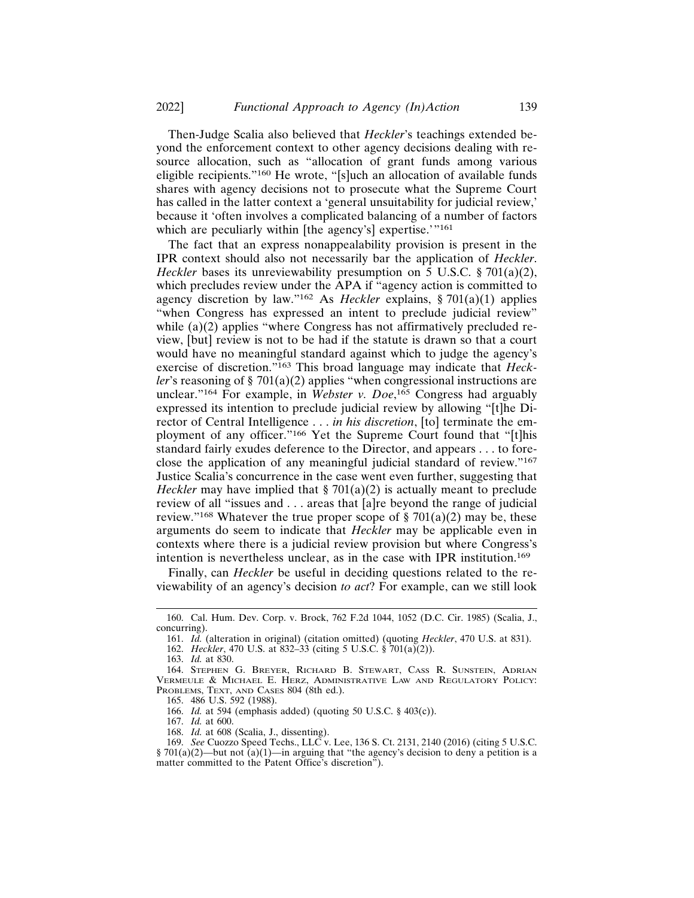Then-Judge Scalia also believed that *Heckler*'s teachings extended beyond the enforcement context to other agency decisions dealing with resource allocation, such as "allocation of grant funds among various eligible recipients."160 He wrote, "[s]uch an allocation of available funds shares with agency decisions not to prosecute what the Supreme Court has called in the latter context a 'general unsuitability for judicial review,' because it 'often involves a complicated balancing of a number of factors which are peculiarly within [the agency's] expertise.'"<sup>161</sup>

The fact that an express nonappealability provision is present in the IPR context should also not necessarily bar the application of *Heckler*. *Heckler* bases its unreviewability presumption on 5 U.S.C. § 701(a)(2), which precludes review under the APA if "agency action is committed to agency discretion by law."162 As *Heckler* explains, § 701(a)(1) applies "when Congress has expressed an intent to preclude judicial review" while (a)(2) applies "where Congress has not affirmatively precluded review, [but] review is not to be had if the statute is drawn so that a court would have no meaningful standard against which to judge the agency's exercise of discretion."163 This broad language may indicate that *Heckler*'s reasoning of § 701(a)(2) applies "when congressional instructions are unclear."164 For example, in *Webster v. Doe*, 165 Congress had arguably expressed its intention to preclude judicial review by allowing "[t]he Director of Central Intelligence . . . *in his discretion*, [to] terminate the employment of any officer."166 Yet the Supreme Court found that "[t]his standard fairly exudes deference to the Director, and appears . . . to foreclose the application of any meaningful judicial standard of review."<sup>167</sup> Justice Scalia's concurrence in the case went even further, suggesting that *Heckler* may have implied that § 701(a)(2) is actually meant to preclude review of all "issues and . . . areas that [a]re beyond the range of judicial review."<sup>168</sup> Whatever the true proper scope of  $\S 701(a)(2)$  may be, these arguments do seem to indicate that *Heckler* may be applicable even in contexts where there is a judicial review provision but where Congress's intention is nevertheless unclear, as in the case with IPR institution.<sup>169</sup>

Finally, can *Heckler* be useful in deciding questions related to the reviewability of an agency's decision *to act*? For example, can we still look

162. *Heckler*, 470 U.S. at 832–33 (citing 5 U.S.C. § 701(a)(2)).

163. *Id.* at 830.

165. 486 U.S. 592 (1988).

167. *Id.* at 600.

<sup>160.</sup> Cal. Hum. Dev. Corp. v. Brock, 762 F.2d 1044, 1052 (D.C. Cir. 1985) (Scalia, J., concurring).

<sup>161.</sup> *Id.* (alteration in original) (citation omitted) (quoting *Heckler*, 470 U.S. at 831).

<sup>164.</sup> STEPHEN G. BREYER, RICHARD B. STEWART, CASS R. SUNSTEIN, ADRIAN VERMEULE & MICHAEL E. HERZ, ADMINISTRATIVE LAW AND REGULATORY POLICY: PROBLEMS, TEXT, AND CASES 804 (8th ed.).

<sup>166.</sup> *Id.* at 594 (emphasis added) (quoting 50 U.S.C. § 403(c)).

<sup>168.</sup> *Id.* at 608 (Scalia, J., dissenting).

<sup>169.</sup> *See* Cuozzo Speed Techs., LLC v. Lee, 136 S. Ct. 2131, 2140 (2016) (citing 5 U.S.C. § 701(a)(2)—but not  $\hat{a}$ )(1)—in arguing that "the agency's decision to deny a petition is a matter committed to the Patent Office's discretion").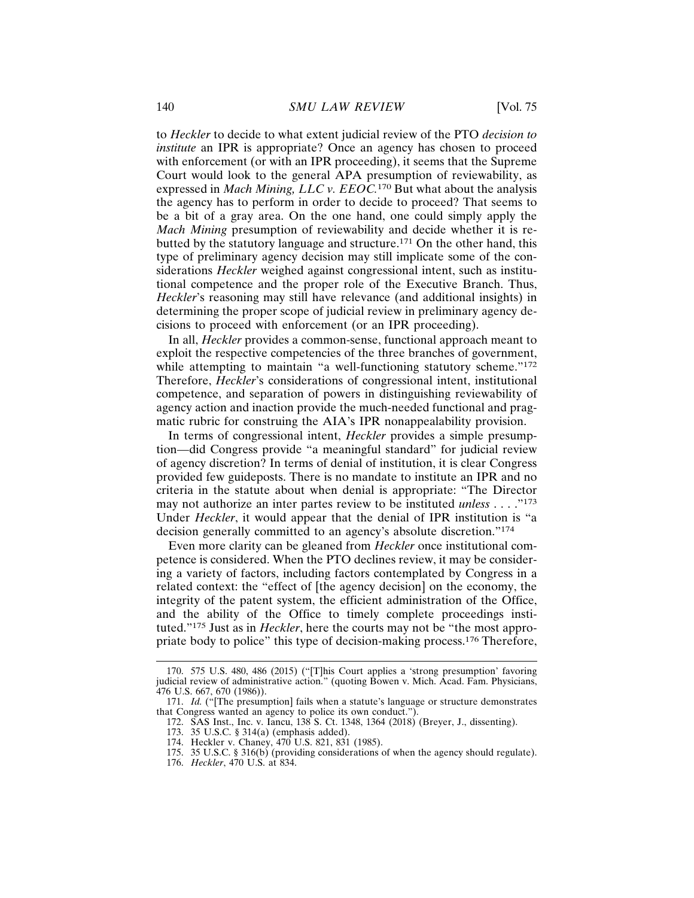to *Heckler* to decide to what extent judicial review of the PTO *decision to institute* an IPR is appropriate? Once an agency has chosen to proceed with enforcement (or with an IPR proceeding), it seems that the Supreme Court would look to the general APA presumption of reviewability, as expressed in *Mach Mining, LLC v. EEOC.*170 But what about the analysis the agency has to perform in order to decide to proceed? That seems to be a bit of a gray area. On the one hand, one could simply apply the *Mach Mining* presumption of reviewability and decide whether it is rebutted by the statutory language and structure.171 On the other hand, this type of preliminary agency decision may still implicate some of the considerations *Heckler* weighed against congressional intent, such as institutional competence and the proper role of the Executive Branch. Thus, *Heckler*'s reasoning may still have relevance (and additional insights) in determining the proper scope of judicial review in preliminary agency decisions to proceed with enforcement (or an IPR proceeding).

In all, *Heckler* provides a common-sense, functional approach meant to exploit the respective competencies of the three branches of government, while attempting to maintain "a well-functioning statutory scheme."<sup>172</sup> Therefore, *Heckler*'s considerations of congressional intent, institutional competence, and separation of powers in distinguishing reviewability of agency action and inaction provide the much-needed functional and pragmatic rubric for construing the AIA's IPR nonappealability provision.

In terms of congressional intent, *Heckler* provides a simple presumption—did Congress provide "a meaningful standard" for judicial review of agency discretion? In terms of denial of institution, it is clear Congress provided few guideposts. There is no mandate to institute an IPR and no criteria in the statute about when denial is appropriate: "The Director may not authorize an inter partes review to be instituted *unless* . . . ."<sup>173</sup> Under *Heckler*, it would appear that the denial of IPR institution is "a decision generally committed to an agency's absolute discretion."<sup>174</sup>

Even more clarity can be gleaned from *Heckler* once institutional competence is considered. When the PTO declines review, it may be considering a variety of factors, including factors contemplated by Congress in a related context: the "effect of [the agency decision] on the economy, the integrity of the patent system, the efficient administration of the Office, and the ability of the Office to timely complete proceedings instituted."175 Just as in *Heckler*, here the courts may not be "the most appropriate body to police" this type of decision-making process.176 Therefore,

<sup>170. 575</sup> U.S. 480, 486 (2015) ("[T]his Court applies a 'strong presumption' favoring judicial review of administrative action." (quoting Bowen v. Mich. Acad. Fam. Physicians, 476 U.S. 667, 670 (1986)).

<sup>171.</sup> *Id.* ("[The presumption] fails when a statute's language or structure demonstrates that Congress wanted an agency to police its own conduct.").

<sup>172.</sup> SAS Inst., Inc. v. Iancu, 138 S. Ct. 1348, 1364 (2018) (Breyer, J., dissenting).

<sup>173. 35</sup> U.S.C. § 314(a) (emphasis added).

<sup>174.</sup> Heckler v. Chaney, 470 U.S. 821, 831 (1985).

<sup>175. 35</sup> U.S.C. § 316(b) (providing considerations of when the agency should regulate).

<sup>176.</sup> *Heckler*, 470 U.S. at 834.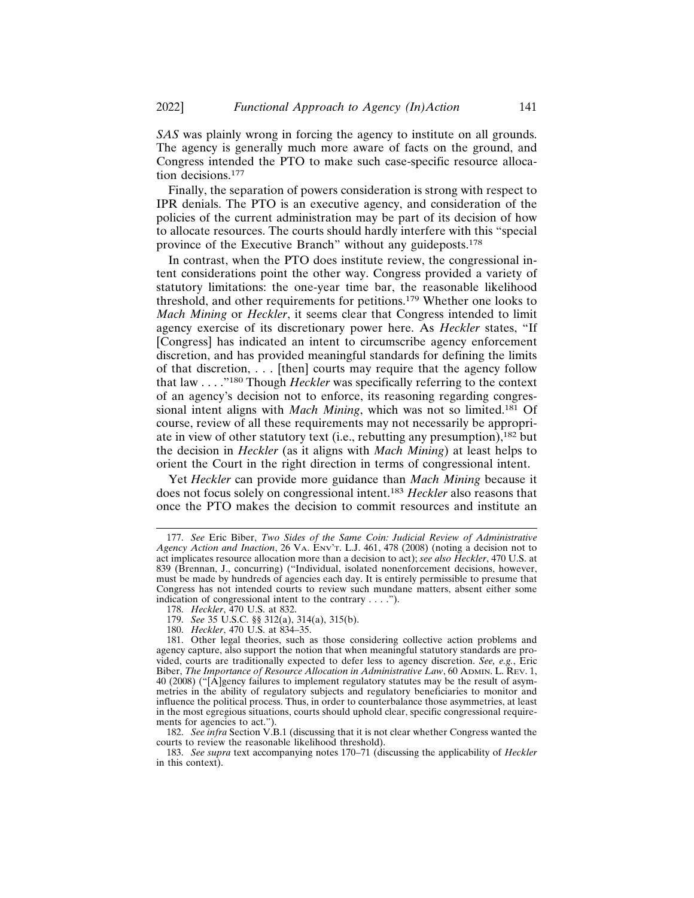*SAS* was plainly wrong in forcing the agency to institute on all grounds. The agency is generally much more aware of facts on the ground, and Congress intended the PTO to make such case-specific resource allocation decisions.<sup>177</sup>

Finally, the separation of powers consideration is strong with respect to IPR denials. The PTO is an executive agency, and consideration of the policies of the current administration may be part of its decision of how to allocate resources. The courts should hardly interfere with this "special province of the Executive Branch" without any guideposts.<sup>178</sup>

In contrast, when the PTO does institute review, the congressional intent considerations point the other way. Congress provided a variety of statutory limitations: the one-year time bar, the reasonable likelihood threshold, and other requirements for petitions.179 Whether one looks to *Mach Mining* or *Heckler*, it seems clear that Congress intended to limit agency exercise of its discretionary power here. As *Heckler* states, "If [Congress] has indicated an intent to circumscribe agency enforcement discretion, and has provided meaningful standards for defining the limits of that discretion, . . . [then] courts may require that the agency follow that law . . . ."180 Though *Heckler* was specifically referring to the context of an agency's decision not to enforce, its reasoning regarding congressional intent aligns with *Mach Mining*, which was not so limited.181 Of course, review of all these requirements may not necessarily be appropriate in view of other statutory text (i.e., rebutting any presumption),182 but the decision in *Heckler* (as it aligns with *Mach Mining*) at least helps to orient the Court in the right direction in terms of congressional intent.

Yet *Heckler* can provide more guidance than *Mach Mining* because it does not focus solely on congressional intent.<sup>183</sup> *Heckler* also reasons that once the PTO makes the decision to commit resources and institute an

182. *See infra* Section V.B.1 (discussing that it is not clear whether Congress wanted the courts to review the reasonable likelihood threshold).

<sup>177.</sup> *See* Eric Biber, *Two Sides of the Same Coin: Judicial Review of Administrative Agency Action and Inaction*, 26 VA. ENV'T. L.J. 461, 478 (2008) (noting a decision not to act implicates resource allocation more than a decision to act); *see also Heckler*, 470 U.S. at 839 (Brennan, J., concurring) ("Individual, isolated nonenforcement decisions, however, must be made by hundreds of agencies each day. It is entirely permissible to presume that Congress has not intended courts to review such mundane matters, absent either some indication of congressional intent to the contrary . . . .").

<sup>178.</sup> *Heckler*, 470 U.S. at 832. 179. *See* 35 U.S.C. §§ 312(a), 314(a), 315(b).

<sup>180.</sup> *Heckler*, 470 U.S. at 834–35.

<sup>181.</sup> Other legal theories, such as those considering collective action problems and agency capture, also support the notion that when meaningful statutory standards are provided, courts are traditionally expected to defer less to agency discretion. *See, e.g.*, Eric Biber, *The Importance of Resource Allocation in Administrative Law*, 60 ADMIN. L. REV. 1, 40 (2008) ("[A]gency failures to implement regulatory statutes may be the result of asymmetries in the ability of regulatory subjects and regulatory beneficiaries to monitor and influence the political process. Thus, in order to counterbalance those asymmetries, at least in the most egregious situations, courts should uphold clear, specific congressional requirements for agencies to act.").

<sup>183.</sup> *See supra* text accompanying notes 170–71 (discussing the applicability of *Heckler* in this context).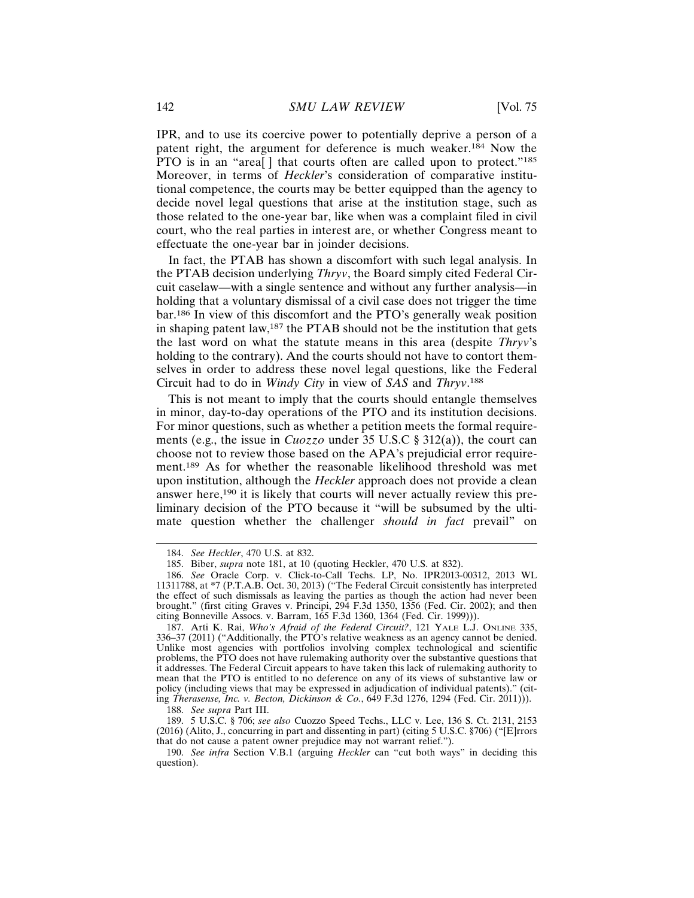IPR, and to use its coercive power to potentially deprive a person of a patent right, the argument for deference is much weaker.184 Now the PTO is in an "area<sup>[]</sup> that courts often are called upon to protect."<sup>185</sup> Moreover, in terms of *Heckler*'s consideration of comparative institutional competence, the courts may be better equipped than the agency to decide novel legal questions that arise at the institution stage, such as those related to the one-year bar, like when was a complaint filed in civil court, who the real parties in interest are, or whether Congress meant to effectuate the one-year bar in joinder decisions.

In fact, the PTAB has shown a discomfort with such legal analysis. In the PTAB decision underlying *Thryv*, the Board simply cited Federal Circuit caselaw—with a single sentence and without any further analysis—in holding that a voluntary dismissal of a civil case does not trigger the time bar.186 In view of this discomfort and the PTO's generally weak position in shaping patent law,187 the PTAB should not be the institution that gets the last word on what the statute means in this area (despite *Thryv*'s holding to the contrary). And the courts should not have to contort themselves in order to address these novel legal questions, like the Federal Circuit had to do in *Windy City* in view of *SAS* and *Thryv*. 188

This is not meant to imply that the courts should entangle themselves in minor, day-to-day operations of the PTO and its institution decisions. For minor questions, such as whether a petition meets the formal requirements (e.g., the issue in *Cuozzo* under 35 U.S.C § 312(a)), the court can choose not to review those based on the APA's prejudicial error requirement.189 As for whether the reasonable likelihood threshold was met upon institution, although the *Heckler* approach does not provide a clean answer here,190 it is likely that courts will never actually review this preliminary decision of the PTO because it "will be subsumed by the ultimate question whether the challenger *should in fact* prevail" on

188. *See supra* Part III.

189. 5 U.S.C. § 706; *see also* Cuozzo Speed Techs., LLC v. Lee, 136 S. Ct. 2131, 2153 (2016) (Alito, J., concurring in part and dissenting in part) (citing 5 U.S.C. §706) ("[E]rrors that do not cause a patent owner prejudice may not warrant relief.").

<sup>184.</sup> *See Heckler*, 470 U.S. at 832.

<sup>185.</sup> Biber, *supra* note 181, at 10 (quoting Heckler, 470 U.S. at 832).

<sup>186.</sup> *See* Oracle Corp. v. Click-to-Call Techs. LP, No. IPR2013-00312, 2013 WL 11311788, at \*7 (P.T.A.B. Oct. 30, 2013) ("The Federal Circuit consistently has interpreted the effect of such dismissals as leaving the parties as though the action had never been brought." (first citing Graves v. Principi, 294 F.3d 1350, 1356 (Fed. Cir. 2002); and then citing Bonneville Assocs. v. Barram, 165 F.3d 1360, 1364 (Fed. Cir. 1999))).

<sup>187.</sup> Arti K. Rai, *Who's Afraid of the Federal Circuit?*, 121 YALE L.J. ONLINE 335, 336–37 (2011) ("Additionally, the PTO's relative weakness as an agency cannot be denied. Unlike most agencies with portfolios involving complex technological and scientific problems, the PTO does not have rulemaking authority over the substantive questions that it addresses. The Federal Circuit appears to have taken this lack of rulemaking authority to mean that the PTO is entitled to no deference on any of its views of substantive law or policy (including views that may be expressed in adjudication of individual patents)." (citing *Therasense, Inc. v. Becton, Dickinson & Co.*, 649 F.3d 1276, 1294 (Fed. Cir. 2011))).

<sup>190.</sup> *See infra* Section V.B.1 (arguing *Heckler* can "cut both ways" in deciding this question).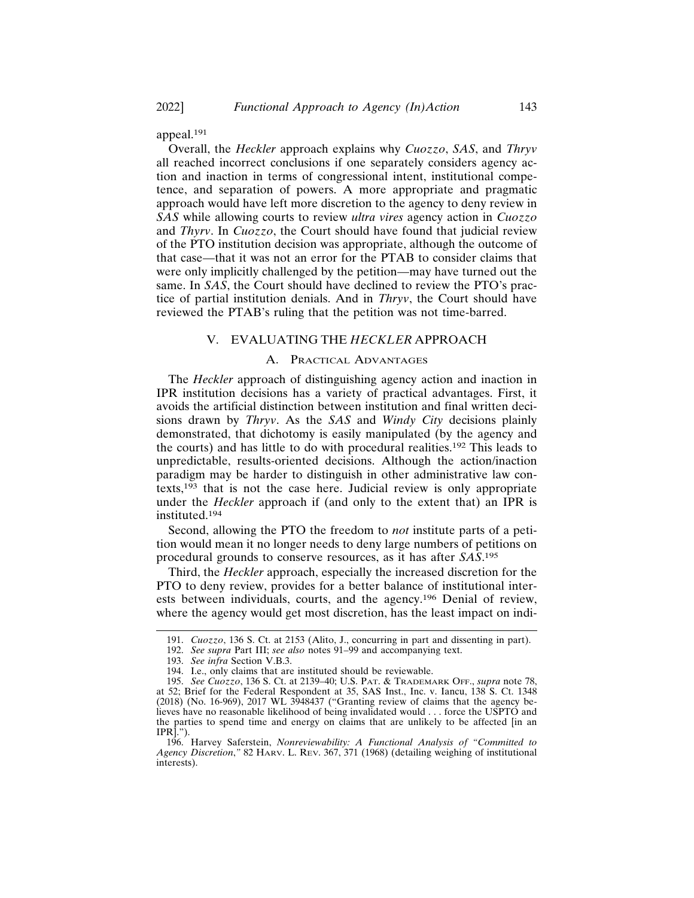appeal.<sup>191</sup>

Overall, the *Heckler* approach explains why *Cuozzo*, *SAS*, and *Thryv* all reached incorrect conclusions if one separately considers agency action and inaction in terms of congressional intent, institutional competence, and separation of powers. A more appropriate and pragmatic approach would have left more discretion to the agency to deny review in *SAS* while allowing courts to review *ultra vires* agency action in *Cuozzo* and *Thyrv*. In *Cuozzo*, the Court should have found that judicial review of the PTO institution decision was appropriate, although the outcome of that case—that it was not an error for the PTAB to consider claims that were only implicitly challenged by the petition—may have turned out the same. In *SAS*, the Court should have declined to review the PTO's practice of partial institution denials. And in *Thryv*, the Court should have reviewed the PTAB's ruling that the petition was not time-barred.

#### V. EVALUATING THE *HECKLER* APPROACH

#### A. PRACTICAL ADVANTAGES

The *Heckler* approach of distinguishing agency action and inaction in IPR institution decisions has a variety of practical advantages. First, it avoids the artificial distinction between institution and final written decisions drawn by *Thryv*. As the *SAS* and *Windy City* decisions plainly demonstrated, that dichotomy is easily manipulated (by the agency and the courts) and has little to do with procedural realities.192 This leads to unpredictable, results-oriented decisions. Although the action/inaction paradigm may be harder to distinguish in other administrative law contexts,193 that is not the case here. Judicial review is only appropriate under the *Heckler* approach if (and only to the extent that) an IPR is instituted.<sup>194</sup>

Second, allowing the PTO the freedom to *not* institute parts of a petition would mean it no longer needs to deny large numbers of petitions on procedural grounds to conserve resources, as it has after *SAS*. 195

Third, the *Heckler* approach, especially the increased discretion for the PTO to deny review, provides for a better balance of institutional interests between individuals, courts, and the agency.196 Denial of review, where the agency would get most discretion, has the least impact on indi-

<sup>191.</sup> *Cuozzo*, 136 S. Ct. at 2153 (Alito, J., concurring in part and dissenting in part).

<sup>192.</sup> *See supra* Part III; *see also* notes 91–99 and accompanying text.

<sup>193.</sup> *See infra* Section V.B.3.

<sup>194.</sup> I.e., only claims that are instituted should be reviewable.

<sup>195.</sup> *See Cuozzo*, 136 S. Ct. at 2139–40; U.S. PAT. & TRADEMARK OFF., *supra* note 78, at 52; Brief for the Federal Respondent at 35, SAS Inst., Inc. v. Iancu, 138 S. Ct. 1348 (2018) (No. 16-969), 2017 WL 3948437 ("Granting review of claims that the agency believes have no reasonable likelihood of being invalidated would . . . force the USPTO and the parties to spend time and energy on claims that are unlikely to be affected [in an IPR].").

<sup>196.</sup> Harvey Saferstein, *Nonreviewability: A Functional Analysis of "Committed to Agency Discretion*,*"* 82 HARV. L. REV. 367, 371 (1968) (detailing weighing of institutional interests).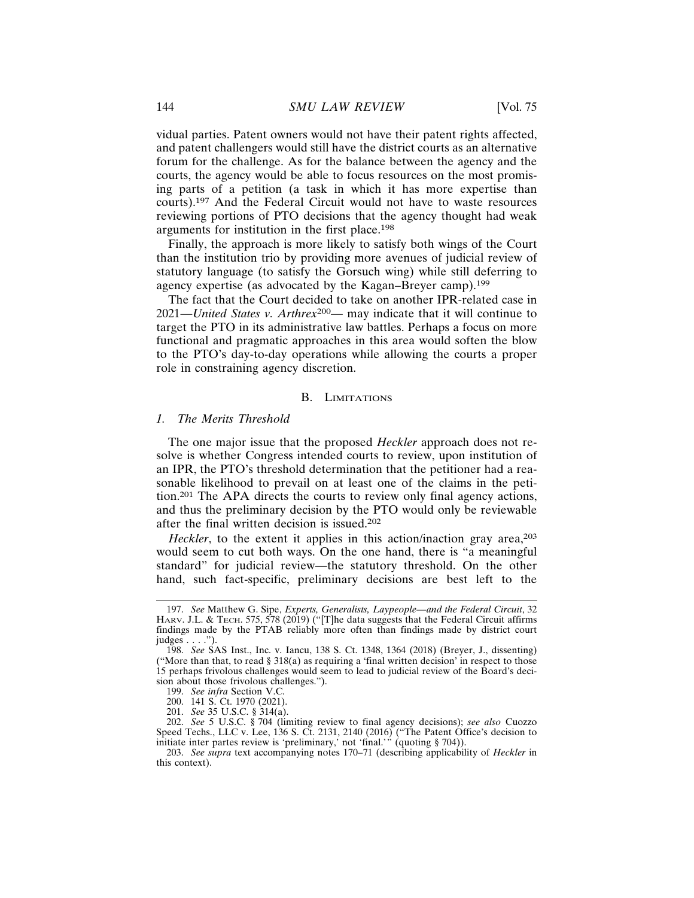vidual parties. Patent owners would not have their patent rights affected, and patent challengers would still have the district courts as an alternative forum for the challenge. As for the balance between the agency and the courts, the agency would be able to focus resources on the most promising parts of a petition (a task in which it has more expertise than courts).197 And the Federal Circuit would not have to waste resources reviewing portions of PTO decisions that the agency thought had weak arguments for institution in the first place.<sup>198</sup>

Finally, the approach is more likely to satisfy both wings of the Court than the institution trio by providing more avenues of judicial review of statutory language (to satisfy the Gorsuch wing) while still deferring to agency expertise (as advocated by the Kagan–Breyer camp).<sup>199</sup>

The fact that the Court decided to take on another IPR-related case in 2021—*United States v. Arthrex*200— may indicate that it will continue to target the PTO in its administrative law battles. Perhaps a focus on more functional and pragmatic approaches in this area would soften the blow to the PTO's day-to-day operations while allowing the courts a proper role in constraining agency discretion.

#### B. LIMITATIONS

#### *1. The Merits Threshold*

The one major issue that the proposed *Heckler* approach does not resolve is whether Congress intended courts to review, upon institution of an IPR, the PTO's threshold determination that the petitioner had a reasonable likelihood to prevail on at least one of the claims in the petition.201 The APA directs the courts to review only final agency actions, and thus the preliminary decision by the PTO would only be reviewable after the final written decision is issued.<sup>202</sup>

*Heckler*, to the extent it applies in this action/inaction gray area,<sup>203</sup> would seem to cut both ways. On the one hand, there is "a meaningful standard" for judicial review—the statutory threshold. On the other hand, such fact-specific, preliminary decisions are best left to the

<sup>197.</sup> *See* Matthew G. Sipe, *Experts, Generalists, Laypeople—and the Federal Circuit*, 32 HARV. J.L. & TECH. 575, 578 (2019) ("[T]he data suggests that the Federal Circuit affirms findings made by the PTAB reliably more often than findings made by district court judges . . . .").

<sup>198.</sup> *See* SAS Inst., Inc. v. Iancu, 138 S. Ct. 1348, 1364 (2018) (Breyer, J., dissenting) ("More than that, to read § 318(a) as requiring a 'final written decision' in respect to those 15 perhaps frivolous challenges would seem to lead to judicial review of the Board's decision about those frivolous challenges.").

<sup>199.</sup> *See infra* Section V.C.

<sup>200. 141</sup> S. Ct. 1970 (2021).

<sup>201.</sup> *See* 35 U.S.C. § 314(a).

<sup>202.</sup> *See* 5 U.S.C. § 704 (limiting review to final agency decisions); *see also* Cuozzo Speed Techs., LLC v. Lee, 136 S. Ct. 2131, 2140 (2016) ("The Patent Office's decision to initiate inter partes review is 'preliminary,' not 'final.'" (quoting § 704)).

<sup>203.</sup> *See supra* text accompanying notes 170–71 (describing applicability of *Heckler* in this context).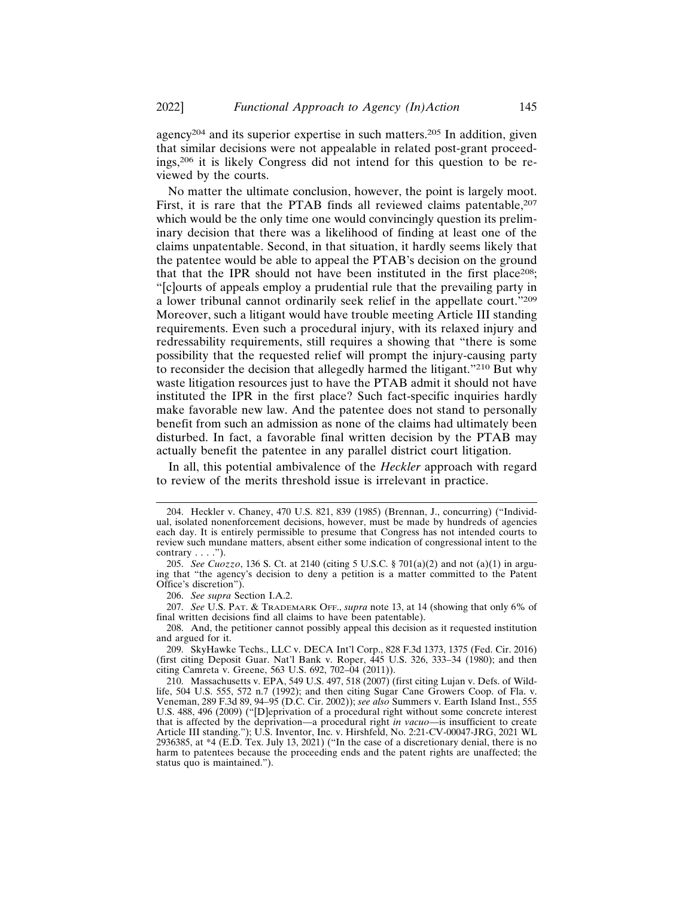agency204 and its superior expertise in such matters.205 In addition, given that similar decisions were not appealable in related post-grant proceedings,206 it is likely Congress did not intend for this question to be reviewed by the courts.

No matter the ultimate conclusion, however, the point is largely moot. First, it is rare that the PTAB finds all reviewed claims patentable, <sup>207</sup> which would be the only time one would convincingly question its preliminary decision that there was a likelihood of finding at least one of the claims unpatentable. Second, in that situation, it hardly seems likely that the patentee would be able to appeal the PTAB's decision on the ground that that the IPR should not have been instituted in the first place<sup>208</sup>; "[c]ourts of appeals employ a prudential rule that the prevailing party in a lower tribunal cannot ordinarily seek relief in the appellate court."<sup>209</sup> Moreover, such a litigant would have trouble meeting Article III standing requirements. Even such a procedural injury, with its relaxed injury and redressability requirements, still requires a showing that "there is some possibility that the requested relief will prompt the injury-causing party to reconsider the decision that allegedly harmed the litigant."210 But why waste litigation resources just to have the PTAB admit it should not have instituted the IPR in the first place? Such fact-specific inquiries hardly make favorable new law. And the patentee does not stand to personally benefit from such an admission as none of the claims had ultimately been disturbed. In fact, a favorable final written decision by the PTAB may actually benefit the patentee in any parallel district court litigation.

In all, this potential ambivalence of the *Heckler* approach with regard to review of the merits threshold issue is irrelevant in practice.

<sup>204.</sup> Heckler v. Chaney, 470 U.S. 821, 839 (1985) (Brennan, J., concurring) ("Individual, isolated nonenforcement decisions, however, must be made by hundreds of agencies each day. It is entirely permissible to presume that Congress has not intended courts to review such mundane matters, absent either some indication of congressional intent to the contrary  $\dots$ .").

<sup>205.</sup> *See Cuozzo*, 136 S. Ct. at 2140 (citing 5 U.S.C. § 701(a)(2) and not (a)(1) in arguing that "the agency's decision to deny a petition is a matter committed to the Patent Office's discretion").

<sup>206.</sup> *See supra* Section I.A.2.

<sup>207.</sup> *See* U.S. PAT. & TRADEMARK OFF., *supra* note 13, at 14 (showing that only 6% of final written decisions find all claims to have been patentable).

<sup>208.</sup> And, the petitioner cannot possibly appeal this decision as it requested institution and argued for it.

<sup>209.</sup> SkyHawke Techs., LLC v. DECA Int'l Corp., 828 F.3d 1373, 1375 (Fed. Cir. 2016) (first citing Deposit Guar. Nat'l Bank v. Roper, 445 U.S. 326, 333–34 (1980); and then citing Camreta v. Greene, 563 U.S. 692, 702–04 (2011)).

<sup>210.</sup> Massachusetts v. EPA, 549 U.S. 497, 518 (2007) (first citing Lujan v. Defs. of Wildlife, 504 U.S. 555, 572 n.7 (1992); and then citing Sugar Cane Growers Coop. of Fla. v. Veneman, 289 F.3d 89, 94–95 (D.C. Cir. 2002)); *see also* Summers v. Earth Island Inst., 555 U.S. 488, 496 (2009) ("[D]eprivation of a procedural right without some concrete interest that is affected by the deprivation—a procedural right *in vacuo*—is insufficient to create Article III standing."); U.S. Inventor, Inc. v. Hirshfeld, No. 2:21-CV-00047-JRG, 2021 WL 2936385, at \*4 (E.D. Tex. July 13, 2021) ("In the case of a discretionary denial, there is no harm to patentees because the proceeding ends and the patent rights are unaffected; the status quo is maintained.").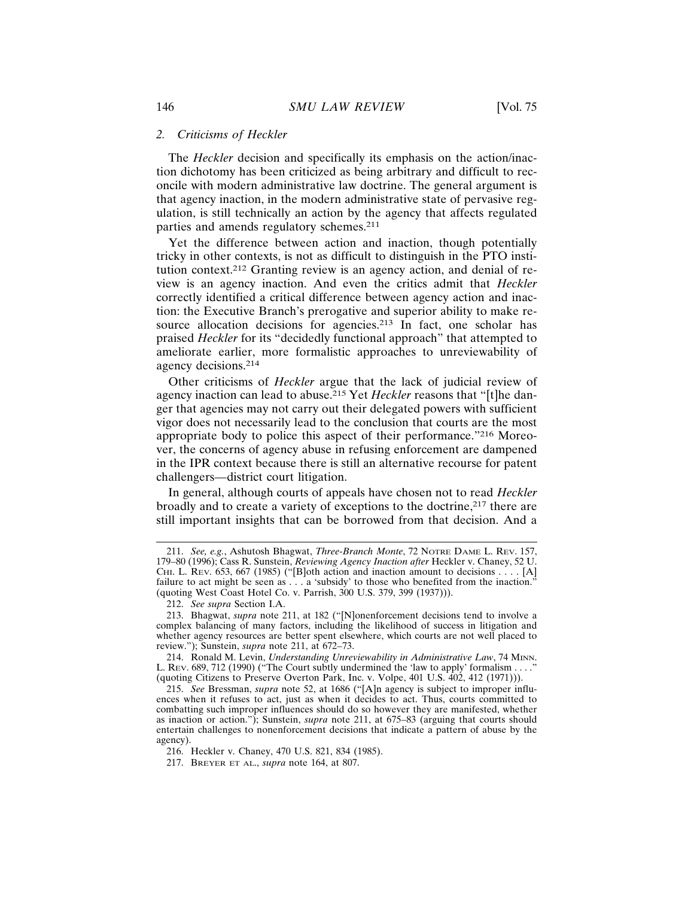#### *2. Criticisms of Heckler*

The *Heckler* decision and specifically its emphasis on the action/inaction dichotomy has been criticized as being arbitrary and difficult to reconcile with modern administrative law doctrine. The general argument is that agency inaction, in the modern administrative state of pervasive regulation, is still technically an action by the agency that affects regulated parties and amends regulatory schemes.<sup>211</sup>

Yet the difference between action and inaction, though potentially tricky in other contexts, is not as difficult to distinguish in the PTO institution context.212 Granting review is an agency action, and denial of review is an agency inaction. And even the critics admit that *Heckler* correctly identified a critical difference between agency action and inaction: the Executive Branch's prerogative and superior ability to make resource allocation decisions for agencies.<sup>213</sup> In fact, one scholar has praised *Heckler* for its "decidedly functional approach" that attempted to ameliorate earlier, more formalistic approaches to unreviewability of agency decisions.<sup>214</sup>

Other criticisms of *Heckler* argue that the lack of judicial review of agency inaction can lead to abuse.215 Yet *Heckler* reasons that "[t]he danger that agencies may not carry out their delegated powers with sufficient vigor does not necessarily lead to the conclusion that courts are the most appropriate body to police this aspect of their performance."216 Moreover, the concerns of agency abuse in refusing enforcement are dampened in the IPR context because there is still an alternative recourse for patent challengers—district court litigation.

In general, although courts of appeals have chosen not to read *Heckler* broadly and to create a variety of exceptions to the doctrine,<sup>217</sup> there are still important insights that can be borrowed from that decision. And a

<sup>211.</sup> *See, e.g.*, Ashutosh Bhagwat, *Three-Branch Monte*, 72 NOTRE DAME L. REV. 157, 179–80 (1996); Cass R. Sunstein, *Reviewing Agency Inaction after* Heckler v. Chaney, 52 U. CHI. L. REV. 653, 667 (1985) ("[B]oth action and inaction amount to decisions . . . . [A] failure to act might be seen as . . . a 'subsidy' to those who benefited from the inaction.' (quoting West Coast Hotel Co. v. Parrish, 300 U.S. 379, 399 (1937))).

<sup>212.</sup> *See supra* Section I.A.

<sup>213.</sup> Bhagwat, *supra* note 211, at 182 ("[N]onenforcement decisions tend to involve a complex balancing of many factors, including the likelihood of success in litigation and whether agency resources are better spent elsewhere, which courts are not well placed to review."); Sunstein, *supra* note 211, at 672–73.

<sup>214.</sup> Ronald M. Levin, *Understanding Unreviewability in Administrative Law*, 74 MINN. L. Rev. 689, 712 (1990) ("The Court subtly undermined the 'law to apply' formalism . . . . (quoting Citizens to Preserve Overton Park, Inc. v. Volpe, 401 U.S. 402, 412 (1971))).

<sup>215.</sup> *See* Bressman, *supra* note 52, at 1686 ("[A]n agency is subject to improper influences when it refuses to act, just as when it decides to act. Thus, courts committed to combatting such improper influences should do so however they are manifested, whether as inaction or action."); Sunstein, *supra* note 211, at 675–83 (arguing that courts should entertain challenges to nonenforcement decisions that indicate a pattern of abuse by the agency).

<sup>216.</sup> Heckler v. Chaney, 470 U.S. 821, 834 (1985).

<sup>217.</sup> BREYER ET AL., *supra* note 164, at 807.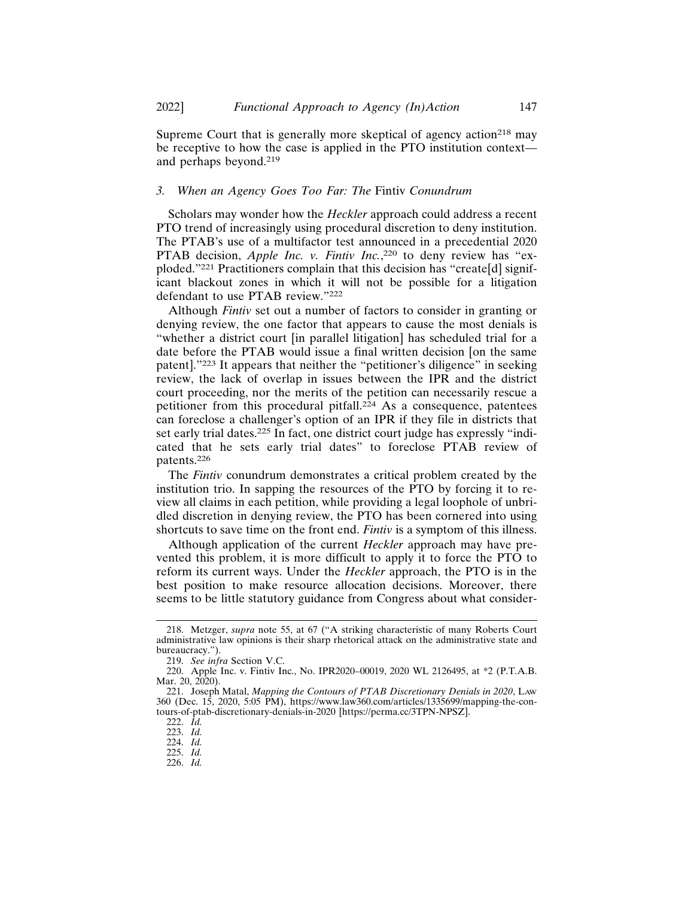Supreme Court that is generally more skeptical of agency action<sup>218</sup> may be receptive to how the case is applied in the PTO institution context and perhaps beyond.<sup>219</sup>

#### *3. When an Agency Goes Too Far: The* Fintiv *Conundrum*

Scholars may wonder how the *Heckler* approach could address a recent PTO trend of increasingly using procedural discretion to deny institution. The PTAB's use of a multifactor test announced in a precedential 2020 PTAB decision, *Apple Inc. v. Fintiv Inc.*,<sup>220</sup> to deny review has "exploded."221 Practitioners complain that this decision has "create[d] significant blackout zones in which it will not be possible for a litigation defendant to use PTAB review."<sup>222</sup>

Although *Fintiv* set out a number of factors to consider in granting or denying review, the one factor that appears to cause the most denials is "whether a district court [in parallel litigation] has scheduled trial for a date before the PTAB would issue a final written decision [on the same patent]."223 It appears that neither the "petitioner's diligence" in seeking review, the lack of overlap in issues between the IPR and the district court proceeding, nor the merits of the petition can necessarily rescue a petitioner from this procedural pitfall.<sup>224</sup> As a consequence, patentees can foreclose a challenger's option of an IPR if they file in districts that set early trial dates.<sup>225</sup> In fact, one district court judge has expressly "indicated that he sets early trial dates" to foreclose PTAB review of patents.226

The *Fintiv* conundrum demonstrates a critical problem created by the institution trio. In sapping the resources of the PTO by forcing it to review all claims in each petition, while providing a legal loophole of unbridled discretion in denying review, the PTO has been cornered into using shortcuts to save time on the front end. *Fintiv* is a symptom of this illness.

Although application of the current *Heckler* approach may have prevented this problem, it is more difficult to apply it to force the PTO to reform its current ways. Under the *Heckler* approach, the PTO is in the best position to make resource allocation decisions. Moreover, there seems to be little statutory guidance from Congress about what consider-

<sup>218.</sup> Metzger, *supra* note 55, at 67 ("A striking characteristic of many Roberts Court administrative law opinions is their sharp rhetorical attack on the administrative state and bureaucracy.").

<sup>219.</sup> *See infra* Section V.C.

<sup>220.</sup> Apple Inc. v. Fintiv Inc., No. IPR2020–00019, 2020 WL 2126495, at \*2 (P.T.A.B. Mar. 20, 2020).

<sup>221.</sup> Joseph Matal, *Mapping the Contours of PTAB Discretionary Denials in 2020*, LAW 360 (Dec. 15, 2020, 5:05 PM), https://www.law360.com/articles/1335699/mapping-the-contours-of-ptab-discretionary-denials-in-2020 [https://perma.cc/3TPN-NPSZ].

<sup>222.</sup> *Id.*

<sup>223.</sup> *Id.*

<sup>224.</sup> *Id.*

<sup>225.</sup> *Id.*

<sup>226.</sup> *Id.*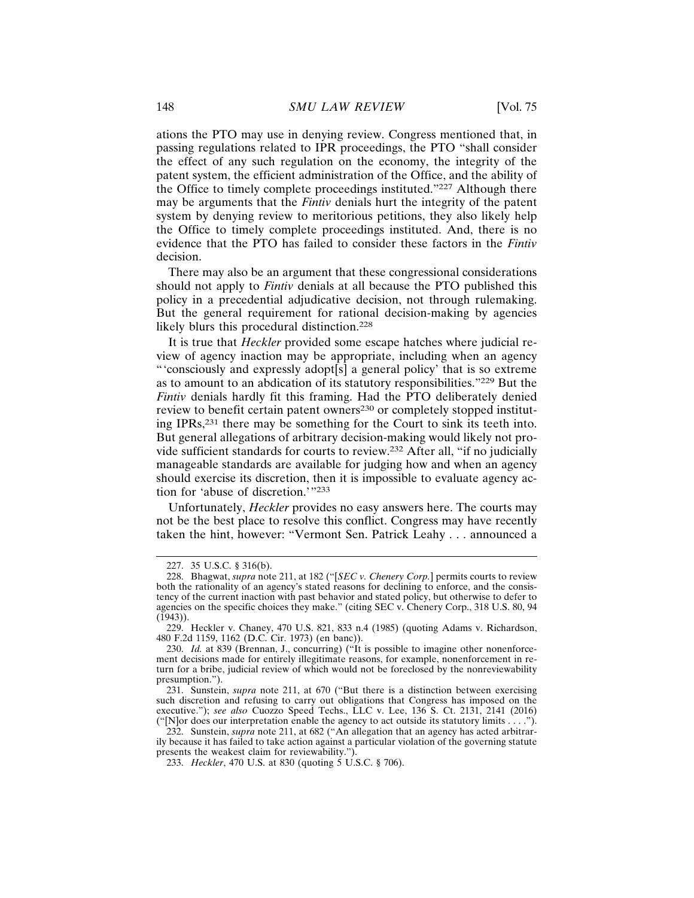ations the PTO may use in denying review. Congress mentioned that, in passing regulations related to IPR proceedings, the PTO "shall consider the effect of any such regulation on the economy, the integrity of the patent system, the efficient administration of the Office, and the ability of the Office to timely complete proceedings instituted."227 Although there may be arguments that the *Fintiv* denials hurt the integrity of the patent system by denying review to meritorious petitions, they also likely help the Office to timely complete proceedings instituted. And, there is no evidence that the PTO has failed to consider these factors in the *Fintiv* decision.

There may also be an argument that these congressional considerations should not apply to *Fintiv* denials at all because the PTO published this policy in a precedential adjudicative decision, not through rulemaking. But the general requirement for rational decision-making by agencies likely blurs this procedural distinction.<sup>228</sup>

It is true that *Heckler* provided some escape hatches where judicial review of agency inaction may be appropriate, including when an agency "'consciously and expressly adopt[s] a general policy' that is so extreme as to amount to an abdication of its statutory responsibilities."229 But the *Fintiv* denials hardly fit this framing. Had the PTO deliberately denied review to benefit certain patent owners<sup>230</sup> or completely stopped instituting IPRs,231 there may be something for the Court to sink its teeth into. But general allegations of arbitrary decision-making would likely not provide sufficient standards for courts to review.232 After all, "if no judicially manageable standards are available for judging how and when an agency should exercise its discretion, then it is impossible to evaluate agency action for 'abuse of discretion.'"<sup>233</sup>

Unfortunately, *Heckler* provides no easy answers here. The courts may not be the best place to resolve this conflict. Congress may have recently taken the hint, however: "Vermont Sen. Patrick Leahy . . . announced a

<sup>227. 35</sup> U.S.C. § 316(b).

<sup>228.</sup> Bhagwat, *supra* note 211, at 182 ("[*SEC v. Chenery Corp.*] permits courts to review both the rationality of an agency's stated reasons for declining to enforce, and the consistency of the current inaction with past behavior and stated policy, but otherwise to defer to agencies on the specific choices they make." (citing SEC v. Chenery Corp., 318 U.S. 80, 94 (1943)).

<sup>229.</sup> Heckler v. Chaney, 470 U.S. 821, 833 n.4 (1985) (quoting Adams v. Richardson, 480 F.2d 1159, 1162 (D.C. Cir. 1973) (en banc)).

<sup>230.</sup> *Id.* at 839 (Brennan, J., concurring) ("It is possible to imagine other nonenforcement decisions made for entirely illegitimate reasons, for example, nonenforcement in return for a bribe, judicial review of which would not be foreclosed by the nonreviewability presumption.").

<sup>231.</sup> Sunstein, *supra* note 211, at 670 ("But there is a distinction between exercising such discretion and refusing to carry out obligations that Congress has imposed on the executive."); *see also* Cuozzo Speed Techs., LLC v. Lee, 136 S. Ct. 2131, 2141 (2016) ("[N]or does our interpretation enable the agency to act outside its statutory limits . . . .").

<sup>232.</sup> Sunstein, *supra* note 211, at 682 ("An allegation that an agency has acted arbitrarily because it has failed to take action against a particular violation of the governing statute presents the weakest claim for reviewability.").

<sup>233.</sup> *Heckler*, 470 U.S. at 830 (quoting 5 U.S.C. § 706).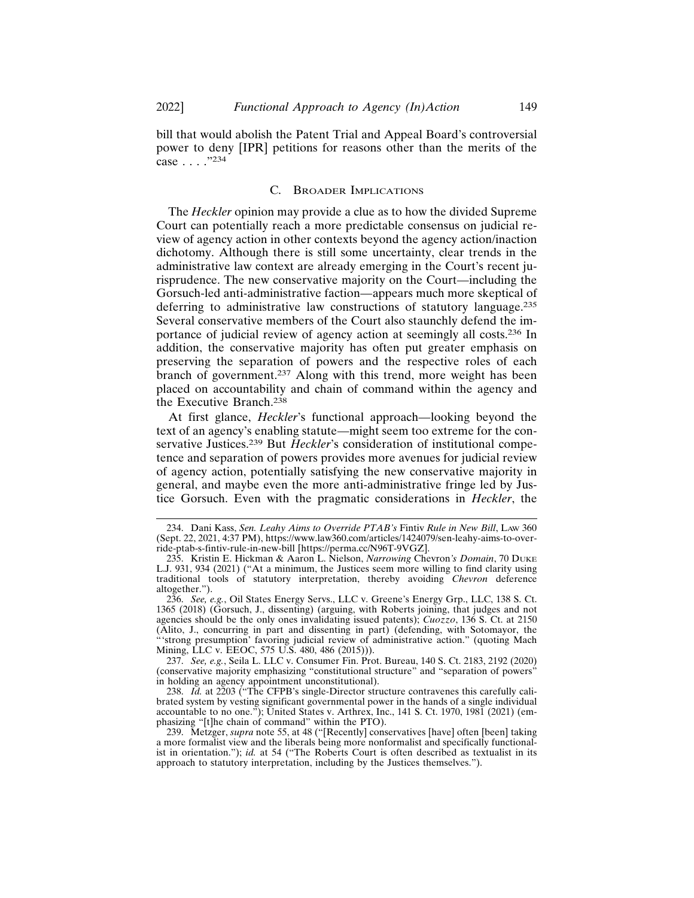bill that would abolish the Patent Trial and Appeal Board's controversial power to deny [IPR] petitions for reasons other than the merits of the case . . . ."<sup>234</sup>

#### C. BROADER IMPLICATIONS

The *Heckler* opinion may provide a clue as to how the divided Supreme Court can potentially reach a more predictable consensus on judicial review of agency action in other contexts beyond the agency action/inaction dichotomy. Although there is still some uncertainty, clear trends in the administrative law context are already emerging in the Court's recent jurisprudence. The new conservative majority on the Court—including the Gorsuch-led anti-administrative faction—appears much more skeptical of deferring to administrative law constructions of statutory language.<sup>235</sup> Several conservative members of the Court also staunchly defend the importance of judicial review of agency action at seemingly all costs.236 In addition, the conservative majority has often put greater emphasis on preserving the separation of powers and the respective roles of each branch of government.237 Along with this trend, more weight has been placed on accountability and chain of command within the agency and the Executive Branch.<sup>238</sup>

At first glance, *Heckler*'s functional approach—looking beyond the text of an agency's enabling statute—might seem too extreme for the conservative Justices.239 But *Heckler*'s consideration of institutional competence and separation of powers provides more avenues for judicial review of agency action, potentially satisfying the new conservative majority in general, and maybe even the more anti-administrative fringe led by Justice Gorsuch. Even with the pragmatic considerations in *Heckler*, the

<sup>234.</sup> Dani Kass, *Sen. Leahy Aims to Override PTAB's* Fintiv *Rule in New Bill*, LAW 360 (Sept. 22, 2021, 4:37 PM), https://www.law360.com/articles/1424079/sen-leahy-aims-to-override-ptab-s-fintiv-rule-in-new-bill [https://perma.cc/N96T-9VGZ].

<sup>235.</sup> Kristin E. Hickman & Aaron L. Nielson, *Narrowing* Chevron*'s Domain*, 70 DUKE L.J. 931, 934 (2021) ("At a minimum, the Justices seem more willing to find clarity using traditional tools of statutory interpretation, thereby avoiding *Chevron* deference altogether.").

<sup>236.</sup> *See, e.g.*, Oil States Energy Servs., LLC v. Greene's Energy Grp., LLC, 138 S. Ct. 1365 (2018) (Gorsuch, J., dissenting) (arguing, with Roberts joining, that judges and not agencies should be the only ones invalidating issued patents); *Cuozzo*, 136 S. Ct. at 2150 (Alito, J., concurring in part and dissenting in part) (defending, with Sotomayor, the "'strong presumption' favoring judicial review of administrative action." (quoting Mach Mining, LLC v. EEOC, 575 U.S. 480, 486 (2015))).

<sup>237.</sup> *See, e.g.*, Seila L. LLC v. Consumer Fin. Prot. Bureau, 140 S. Ct. 2183, 2192 (2020) (conservative majority emphasizing "constitutional structure" and "separation of powers" in holding an agency appointment unconstitutional).

<sup>238.</sup> *Id.* at 2203 ("The CFPB's single-Director structure contravenes this carefully calibrated system by vesting significant governmental power in the hands of a single individual accountable to no one."); United States v. Arthrex, Inc., 141 S. Ct. 1970, 1981 (2021) (emphasizing "[t]he chain of command" within the PTO).

<sup>239.</sup> Metzger, *supra* note 55, at 48 ("[Recently] conservatives [have] often [been] taking a more formalist view and the liberals being more nonformalist and specifically functionalist in orientation."); *id.* at 54 ("The Roberts Court is often described as textualist in its approach to statutory interpretation, including by the Justices themselves.").